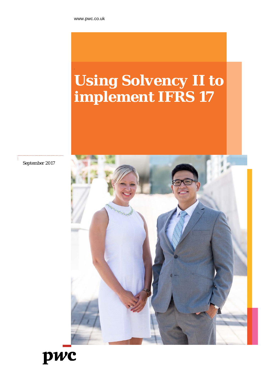# *Using Solvency II to implement IFRS 17*

*September 2017* 



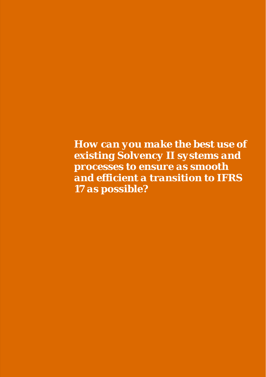*How can you make the best use of existing Solvency II systems and processes to ensure as smooth and efficient a transition to IFRS 17 as possible?*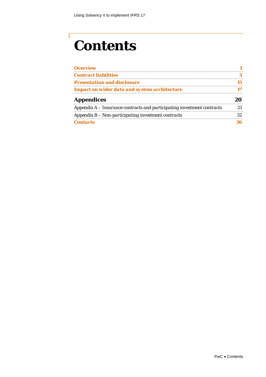# *Contents*

Г

| <b>Overview</b>                                                           |    |
|---------------------------------------------------------------------------|----|
| <b>Contract liabilities</b>                                               | 3  |
| <b>Presentation and disclosure</b>                                        | 15 |
| <b>Impact on wider data and system architecture</b>                       | 17 |
| <b>Appendices</b>                                                         | 20 |
| Appendix $A$ – Insurance contracts and participating investment contracts | 21 |
| Appendix $B$ – Non-participating investment contracts                     | 32 |
| <b>Contacts</b>                                                           | 36 |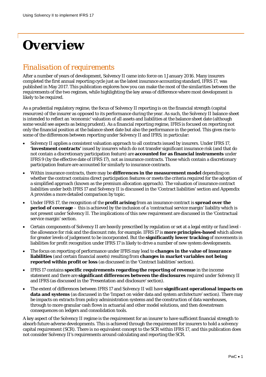# *Overview*

# *Finalisation of requirements*

After a number of years of development, Solvency II came into force on 1 January 2016. Many insurers completed the first annual reporting cycle just as the latest insurance accounting standard, IFRS 17, was published in May 2017. This publication explores how you can make the most of the similarities between the requirements of the two regimes, while highlighting the key areas of difference where most development is likely to be required.

As a prudential regulatory regime, the focus of Solvency II reporting is on the financial strength (capital resources) of the insurer as opposed to its performance during the year. As such, the Solvency II balance sheet is intended to reflect an 'economic' valuation of all assets and liabilities at the balance sheet date (although some would see aspects as being prudent). As a financial reporting regime, IFRS is focused on reporting not only the financial position at the balance sheet date but also the performance in the period. This gives rise to some of the differences between reporting under Solvency II and IFRS; in particular:

- Solvency II applies a consistent valuation approach to all contracts issued by insurers. Under IFRS 17, **'investment contracts'** issued by insurers which do not transfer significant insurance risk (and that do not contain a discretionary participation feature) are **accounted for as financial instruments** under IFRS 9 (by the effective date of IFRS 17), not as insurance contracts. Those which contain a discretionary participation feature are accounted for similarly to insurance contracts.
- Within insurance contracts, there may be **differences in the measurement model** depending on whether the contract contains direct participation features or meets the criteria required for the adoption of a simplified approach (known as the premium allocation approach). The valuation of insurance contract liabilities under both IFRS 17 and Solvency II is discussed in the 'Contract liabilities' section and Appendix A provides a more detailed comparison by topic.
- Under IFRS 17, the recognition of the **profit arising** from an insurance contract is **spread over the period of coverage** – this is achieved by the inclusion of a 'contractual service margin' liability which is not present under Solvency II. The implications of this new requirement are discussed in the 'Contractual service margin' section.
- Certain components of Solvency II are heavily prescribed by regulation or set at a legal entity or fund level the allowance for risk and the discount rate, for example. IFRS 17 is **more principles-based** which allows for greater levels of judgement to be incorporated. But the **significantly lower tracking** of movements in liabilities for profit recognition under IFRS 17 is likely to drive a number of new system developments.
- The focus on reporting of performance under IFRS may lead to **changes in the value of insurance liabilities** (and certain financial assets) resulting from **changes in market variables not being reported within profit or loss** (as discussed in the 'Contract liabilities' section).
- IFRS 17 contains **specific requirements regarding the reporting of revenue** in the income statement and there are **significant differences between the disclosures** required under Solvency II and IFRS (as discussed in the 'Presentation and disclosure' section).
- The extent of differences between IFRS 17 and Solvency II will have **significant operational impacts on data and systems** (as discussed in the 'Impact on wider data and system architecture' section). There may be impacts on extracts from policy administration systems and the construction of data warehouses, through to more granular cash flows in actuarial and other model solutions, and then downstream consequences on ledgers and consolidation tools.

A key aspect of the Solvency II regime is the requirement for an insurer to have sufficient financial strength to absorb future adverse developments. This is achieved through the requirement for insurers to hold a solvency capital requirement (SCR). There is no equivalent concept to the SCR within IFRS 17, and this publication does not consider Solvency II's requirements around calculating and reporting the SCR.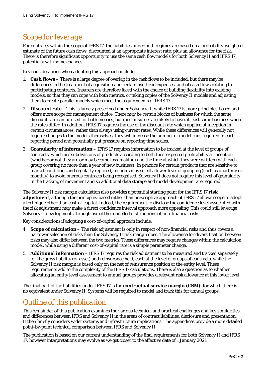# *Scope for leverage*

For contracts within the scope of IFRS 17, the liabilities under both regimes are based on a probability-weighted estimate of the future cash flows, discounted at an appropriate interest rate; plus an allowance for the risk. There is therefore significant opportunity to use the same cash flow models for both Solvency II and IFRS 17, potentially with some changes.

Key considerations when adopting this approach include:

- 1. **Cash flows**  There is a large degree of overlap in the cash flows to be included, but there may be differences in the treatment of acquisition and certain overhead expenses, and of cash flows relating to participating contracts. Insurers are therefore faced with the choice of building flexibility into existing models, so that they can cope with both metrics, or taking copies of the Solvency II models and adjusting them to create parallel models which meet the requirements of IFRS 17.
- 2. **Discount rate** This is largely prescribed under Solvency II, while IFRS 17 is more principles-based and offers more scope for management choice. There may be certain blocks of business for which the same discount rate can be used for both metrics, but most insurers are likely to have at least some business where the rates differ. In addition, IFRS 17 requires the use of the discount rate which applied at inception in certain circumstances, rather than always using current rates. While these differences will generally not require changes to the models themselves, they will increase the number of model runs required in each reporting period and potentially put pressure on reporting time scales.
- 3. **Granularity of information** IFRS 17 requires information to be tracked at the level of groups of contracts, which are subdivisions of products according to both their expected profitability at inception (whether or not they are or may become loss-making) and the time at which they were written (with each group covering no more than a year of new business). In practice for certain products that are sensitive to market conditions and regularly repriced, insurers may select a lower level of grouping (such as quarterly or monthly) to avoid onerous contracts being recognised. Solvency II does not require this level of granularity in the tracking of movement and so additional data storage and model development are required.

The Solvency II risk margin calculation also provides a potential starting point for the IFRS 17 **risk adjustment**, although the principles-based rather than prescriptive approach of IFRS 17 allows scope to adopt a technique other than cost-of-capital. Indeed, the requirement to disclose the confidence level associated with the risk adjustment may make a direct confidence interval approach more appealing. This could still leverage Solvency II developments through use of the modelled distributions of non-financial risks.

Key considerations if adopting a cost-of-capital approach include:

- 4. **Scope of calculation** The risk adjustment is only in respect of non-financial risks and thus covers a narrower selection of risks than the Solvency II risk margin does. The allowance for diversification between risks may also differ between the two metrics. These differences may require changes within the calculation model, while using a different cost-of-capital rate is a simple parameter change.
- 5. **Additional information** IFRS 17 requires the risk adjustment to be measured and tracked separately for the gross liability (or asset) and reinsurance held, each at the level of groups of contracts, while the Solvency II risk margin is based only on the net of reinsurance position at the entity level. These requirements add to the complexity of the IFRS 17 calculations. There is also a question as to whether allocating an entity level assessment to annual groups provides a relevant risk allowance at this lower level.

The final part of the liabilities under IFRS 17 is the **contractual service margin (CSM)**, for which there is no equivalent under Solvency II. Systems will be required to model and track this for annual groups.

## *Outline of this publication*

This remainder of this publication examines the various technical and practical challenges and key similarities and differences between IFRS and Solvency II in the areas of contract liabilities, disclosure and presentation. It then briefly considers wider systems and infrastructure implications. The appendices provide a more detailed point-by-point technical comparison between IFRS and Solvency II.

The publication is based on our current understanding of the final requirements for both Solvency II and IFRS 17, however interpretations may evolve as we get closer to the effective date of 1 January 2021.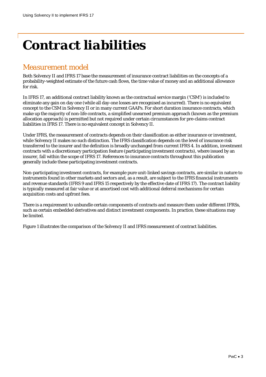# *Contract liabilities*

## *Measurement model*

Both Solvency II and IFRS 17 base the measurement of insurance contract liabilities on the concepts of a probability-weighted estimate of the future cash flows, the time value of money and an additional allowance for risk.

In IFRS 17, an additional contract liability known as the contractual service margin ('CSM') is included to eliminate any gain on day one (while all day-one losses are recognised as incurred). There is no equivalent concept to the CSM in Solvency II or in many current GAAPs. For short duration insurance contracts, which make up the majority of non-life contracts, a simplified unearned premium approach (known as the premium allocation approach) is permitted but not required under certain circumstances for pre-claims contract liabilities in IFRS 17. There is no equivalent concept in Solvency II.

Under IFRS, the measurement of contracts depends on their classification as either insurance or investment, while Solvency II makes no such distinction. The IFRS classification depends on the level of insurance risk transferred to the insurer and the definition is broadly unchanged from current IFRS 4. In addition, investment contracts with a discretionary participation feature (participating investment contracts), where issued by an insurer, fall within the scope of IFRS 17. References to insurance contracts throughout this publication generally include these participating investment contracts.

Non-participating investment contracts, for example pure unit-linked savings contracts, are similar in nature to instruments found in other markets and sectors and, as a result, are subject to the IFRS financial instruments and revenue standards (IFRS 9 and IFRS 15 respectively by the effective date of IFRS 17). The contract liability is typically measured at fair value or at amortised cost with additional deferral mechanisms for certain acquisition costs and upfront fees.

There is a requirement to unbundle certain components of contracts and measure them under different IFRSs, such as certain embedded derivatives and distinct investment components. In practice, these situations may be limited.

Figure 1 illustrates the comparison of the Solvency II and IFRS measurement of contract liabilities.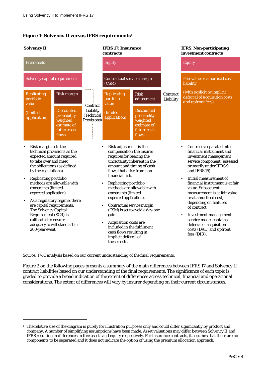### **Figure 1: Solvency II versus IFRS requirements1**

| <b>Solvency II</b>                                                                                                                                                                                                                                                                                                     |                                                                                                                                                                                        | <b>IFRS 17: Insurance</b><br>contracts             |                                                                                                                                                                                                                                                                                                                                                                                                                                                                                                                 |                                                                                      | <b>IFRS: Non-participating</b><br>investment contracts |                                                                                                                                                                                                                                                                                                                                                                                                                                                                                                                   |
|------------------------------------------------------------------------------------------------------------------------------------------------------------------------------------------------------------------------------------------------------------------------------------------------------------------------|----------------------------------------------------------------------------------------------------------------------------------------------------------------------------------------|----------------------------------------------------|-----------------------------------------------------------------------------------------------------------------------------------------------------------------------------------------------------------------------------------------------------------------------------------------------------------------------------------------------------------------------------------------------------------------------------------------------------------------------------------------------------------------|--------------------------------------------------------------------------------------|--------------------------------------------------------|-------------------------------------------------------------------------------------------------------------------------------------------------------------------------------------------------------------------------------------------------------------------------------------------------------------------------------------------------------------------------------------------------------------------------------------------------------------------------------------------------------------------|
| <b>Free assets</b>                                                                                                                                                                                                                                                                                                     |                                                                                                                                                                                        |                                                    | <b>Equity</b>                                                                                                                                                                                                                                                                                                                                                                                                                                                                                                   |                                                                                      |                                                        | <b>Equity</b>                                                                                                                                                                                                                                                                                                                                                                                                                                                                                                     |
| Solvency capital requirement                                                                                                                                                                                                                                                                                           |                                                                                                                                                                                        |                                                    | Contractual service margin<br>(CSM)                                                                                                                                                                                                                                                                                                                                                                                                                                                                             |                                                                                      |                                                        | Fair value or amortised cost<br>liability                                                                                                                                                                                                                                                                                                                                                                                                                                                                         |
| <b>Replicating</b><br>portfolio<br>value                                                                                                                                                                                                                                                                               | <b>Risk margin</b>                                                                                                                                                                     |                                                    | <b>Replicating</b><br>portfolio<br>value                                                                                                                                                                                                                                                                                                                                                                                                                                                                        | <b>Risk</b><br>adjustment                                                            | Contract<br>Liability                                  | (with explicit or implicit<br>deferral of acquisition costs<br>and upfront fees)                                                                                                                                                                                                                                                                                                                                                                                                                                  |
| <i>dimited</i><br><i>application</i> )                                                                                                                                                                                                                                                                                 | <b>Discounted</b><br>probability-<br>weighted<br>estimate of<br>future cash<br>flows                                                                                                   | Contract<br>Liability<br>(Technical<br>Provisions) | <i>dimited</i><br><i>application</i> )                                                                                                                                                                                                                                                                                                                                                                                                                                                                          | <b>Discounted</b><br>probability-<br>weighted<br>estimate of<br>future cash<br>flows |                                                        |                                                                                                                                                                                                                                                                                                                                                                                                                                                                                                                   |
| Risk margin sets the<br>$\bullet$<br>to take over and meet<br>by the regulations).<br><b>Replicating portfolio</b><br>$\bullet$<br>constraints (limited<br>expected application).<br>$\bullet$<br>are capital requirements.<br>The Solvency Capital<br>Requirement (SCR) is<br>calibrated to ensure<br>200-year event. | technical provisions as the<br>expected amount required<br>the obligations (as defined<br>methods are allowable with<br>As a regulatory regime, there<br>adequacy to withstand a 1-in- | $\bullet$<br>$\bullet$<br>$\bullet$                | Risk adjustment is the<br>compensation the insurer<br>requires for bearing the<br>uncertainty inherent in the<br>amount and timing of cash<br>flows that arise from non-<br>financial risk.<br><b>Replicating portfolio</b><br>methods are allowable with<br>constraints (limited<br>expected application).<br>Contractual service margin<br>(CSM) is set to avoid a day-one<br>gain.<br>Acquisition costs are<br>included in the fulfilment<br>cash flows resulting in<br>implicit deferral of<br>these costs. |                                                                                      |                                                        | Contracts separated into<br>$\bullet$<br>financial instrument and<br>investment management<br>service component (assessed<br>primarily under IFRS 9<br>and IFRS 15).<br>Initial measurement of<br>$\bullet$<br>financial instrument is at fair<br>value. Subsequent<br>measurement is at fair value<br>or at amortised cost,<br>depending on features<br>of contract.<br><b>Investment management</b><br>$\bullet$<br>service model contains<br>deferral of acquisition<br>costs (DAC) and upfront<br>fees (DIR). |

*Source: PwC analysis based on our current understanding of the final requirements.* 

-

Figure 2 on the following pages presents a summary of the main differences between IFRS 17 and Solvency II contract liabilities based on our understanding of the final requirements. The significance of each topic is graded to provide a broad indication of the extent of differences across technical, financial and operational considerations. The extent of differences will vary by insurer depending on their current circumstances.

 $<sup>1</sup>$  The relative size of the diagram is purely for illustration purposes only and could differ significantly by product and</sup> company. A number of simplifying assumptions have been made. Asset valuations may differ between Solvency II and IFRS resulting in differences in free assets and equity respectively. For insurance contracts, it assumes that there are no components to be separated and it does not indicate the option of using the premium allocation approach.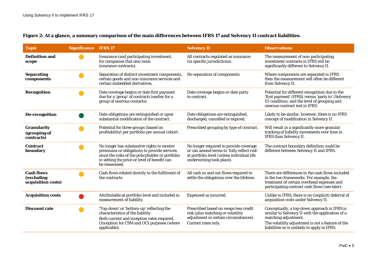| <b>Topic</b>                                          | <b>Significance IFRS 17</b> |                                                                                                                                                                                                                  | <b>Solvency II</b>                                                                                                                                              | <b>Observations</b>                                                                                                                                                                                                           |
|-------------------------------------------------------|-----------------------------|------------------------------------------------------------------------------------------------------------------------------------------------------------------------------------------------------------------|-----------------------------------------------------------------------------------------------------------------------------------------------------------------|-------------------------------------------------------------------------------------------------------------------------------------------------------------------------------------------------------------------------------|
| <b>Definition and</b><br>scope                        |                             | Insurance (and participating investment,<br>for companies that also issue<br>insurance contracts).                                                                                                               | All contracts regulated as insurance<br>(in specific jurisdictions).                                                                                            | The measurement of non-participating<br>investment contracts in IFRS will be<br>significantly different to Solvency II.                                                                                                       |
| <b>Separating</b><br>components                       |                             | Separation of distinct investment components,<br>certain goods and non-insurance services and<br>certain embedded derivatives.                                                                                   | No separation of components.                                                                                                                                    | Where components are separated in IFRS<br>then the measurement will often be different<br>from Solvency II.                                                                                                                   |
| <b>Recognition</b>                                    |                             | Date coverage begins or date first payment<br>due for a 'group' of contracts (earlier for a<br>group of onerous contacts).                                                                                       | Date coverage begins or date party<br>to contract.                                                                                                              | Potential for different recognition due to the<br>'first payment' (IFRS) versus 'party to' (Solvency<br>II) condition; and the level of grouping and<br>onerous contract test in IFRS.                                        |
| De-recognition                                        |                             | Date obligations are extinguished or upon<br>substantial modification of the contract.                                                                                                                           | Date obligations are extinguished,<br>discharged, cancelled or expired.                                                                                         | Likely to be similar, however, there is no IFRS<br>concept of modification in Solvency II.                                                                                                                                    |
| <b>Granularity</b><br>(grouping of<br>contracts)      |                             | Potential for three groups (based on<br>profitability) per portfolio per annual cohort.                                                                                                                          | Prescribed grouping by type of contract.                                                                                                                        | Will result in a significantly more granular<br>tracking of liability movements over time in<br>IFRS than Solvency II.                                                                                                        |
| <b>Contract</b><br>boundary                           |                             | No longer has substantive rights to receive<br>premiums or obligations to provide services<br>since the risks of the policyholder or portfolio<br>in setting the price or level of benefit can<br>be reassessed. | No longer required to provide coverage<br>or can amend terms to 'fully reflect risk'<br>at portfolio level (unless individual life<br>underwriting took place). | The contract boundary definition could be<br>different between Solvency II and IFRS.                                                                                                                                          |
| <b>Cash flows</b><br>(excluding<br>acquisition costs) |                             | Cash flows related directly to the fulfilment of<br>the contracts.                                                                                                                                               | All cash in-and out-flows required to<br>settle the obligations over the lifetime.                                                                              | There are differences in the cash flows included<br>in the two frameworks. For example, the<br>treatment of certain overhead expenses and<br>participating contract cash flows (see later).                                   |
| <b>Acquisition costs</b>                              |                             | Attributable at portfolio level and included in<br>measurement of liability.                                                                                                                                     | Expensed as incurred.                                                                                                                                           | Unlike in IFRS, there is no (implicit) deferral of<br>acquisition costs under Solvency II.                                                                                                                                    |
| <b>Discount rate</b>                                  |                             | 'Top-down' or 'bottom-up' reflecting the<br>characteristics of the liability.<br>Both current and inception rates required.<br>(Inception for CSM and OCI purposes (where<br>applicable).                        | Prescribed based on swaps less credit<br>risk (plus matching or volatility<br>adjustment in certain circumstances).<br>Current rates only.                      | Conceptually, a top-down approach in IFRS is<br>similar to Solvency II with the application of a<br>matching adjustment.<br>The volatility adjustment is not a feature of the<br>liabilities so is unlikely to apply in IFRS. |

### **Figure 2: At a glance, a summary comparison of the main differences between IFRS 17 and Solvency II contract liabilities.**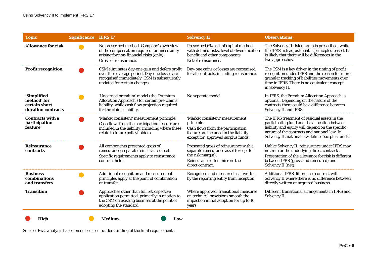| <b>Topic</b>                                                      | <b>Significance IFRS 17</b> |                                                                                                                                                                                    | <b>Solvency II</b>                                                                                                                                                  | <b>Observations</b>                                                                                                                                                                                                                                     |
|-------------------------------------------------------------------|-----------------------------|------------------------------------------------------------------------------------------------------------------------------------------------------------------------------------|---------------------------------------------------------------------------------------------------------------------------------------------------------------------|---------------------------------------------------------------------------------------------------------------------------------------------------------------------------------------------------------------------------------------------------------|
| <b>Allowance for risk</b>                                         |                             | No prescribed method. Company's own view<br>of the compensation required for uncertainty<br>arising for non-financial risks (only).<br>Gross of reinsurance.                       | Prescribed 6% cost of capital method,<br>with defined risks, level of diversification<br>benefit and other components.<br>Net of reinsurance.                       | The Solvency II risk margin is prescribed, while<br>the IFRS risk adjustment is principles-based. It<br>is likely that there will be differences in the<br>two approaches.                                                                              |
| <b>Profit recognition</b>                                         |                             | CSM eliminates day-one gain and defers profit<br>over the coverage period. Day-one losses are<br>recognised immediately. CSM is subsequently<br>updated for certain changes.       | Day-one gains or losses are recognised<br>for all contracts, including reinsurance.                                                                                 | The CSM is a key driver in the timing of profit<br>recognition under IFRS and the reason for more<br>granular tracking of liabilities movements over<br>time in IFRS. There is no equivalent concept<br>in Solvency II.                                 |
| 'Simplified<br>method' for<br>certain short<br>duration contracts |                             | 'Unearned premium' model (the 'Premium<br>Allocation Approach') for certain pre-claims<br>liability, while cash flow projection required<br>for the claims liability.              | No separate model.                                                                                                                                                  | In IFRS, the Premium Allocation Approach is<br>optional. Depending on the nature of the<br>contracts there could be a difference between<br>Solvency II and IFRS.                                                                                       |
| <b>Contracts with a</b><br>participation<br>feature               |                             | 'Market consistent' measurement principle.<br>Cash flows from the participation feature are<br>included in the liability, including where these<br>relate to future policyholders. | 'Market consistent' measurement<br>principle.<br>Cash flows from the participation<br>feature are included in the liability<br>except for 'approved surplus funds'. | The IFRS treatment of residual assets in the<br>participating fund and the allocation between<br>liability and equity will depend on the specific<br>nature of the contracts and national law. In<br>Solvency II, national law defines 'surplus funds'. |
| <b>Reinsurance</b><br>contracts                                   |                             | All components presented gross of<br>reinsurance; separate reinsurance asset.<br>Specific requirements apply to reinsurance<br>contract held.                                      | Presented gross of reinsurance with a<br>separate reinsurance asset (except for<br>the risk margin).<br>Reinsurance often mirrors the<br>direct contract.           | Unlike Solvency II, reinsurance under IFRS may<br>not mirror the underlying direct contracts.<br>Presentation of the allowance for risk is different<br>between IFRS (gross and reinsured) and<br>Solvency II (net).                                    |
| <b>Business</b><br>combinations<br>and transfers                  |                             | Additional recognition and measurement<br>principles apply at the point of combination<br>or transfer.                                                                             | Recognised and measured as if written<br>by the reporting entity from inception.                                                                                    | Additional IFRS differences contrast with<br>Solvency II where there is no difference between<br>directly written or acquired business.                                                                                                                 |
| <b>Transition</b>                                                 |                             | Approaches other than full retrospective<br>application permitted, primarily in relation to<br>the CSM on existing business at the point of<br>adopting the standard.              | Where approved, transitional measures<br>on technical provisions smooth the<br>impact on initial adoption for up to 16<br>years.                                    | Different transitional arrangements in IFRS and<br>Solvency II                                                                                                                                                                                          |
| High                                                              |                             | <b>Medium</b><br>Low                                                                                                                                                               |                                                                                                                                                                     |                                                                                                                                                                                                                                                         |

*Source: PwC analysis based on our current understanding of the final requirements.*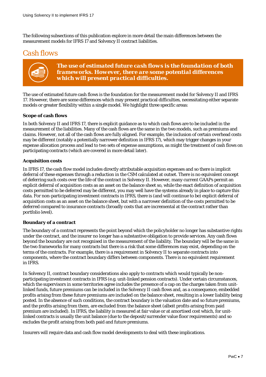The following subsections of this publication explore in more detail the main differences between the measurement models for IFRS 17 and Solvency II contract liabilities.

## *Cash flows*



*The use of estimated future cash flows is the foundation of both frameworks. However, there are some potential differences which will present practical difficulties.* 

The use of estimated future cash flows is the foundation for the measurement model for Solvency II and IFRS 17. However, there are some differences which may present practical difficulties, necessitating either separate models or greater flexibility within a single model. We highlight three specific areas:

### **Scope of cash flows**

In both Solvency II and IFRS 17, there is explicit guidance as to which cash flows are to be included in the measurement of the liabilities. Many of the cash flows are the same in the two models, such as premiums and claims. However, not all of the cash flows are fully aligned. For example, the inclusion of certain overhead costs may be different (notably a potentially narrower definition in IFRS 17), which may trigger changes in your expense allocation process and lead to two sets of expense assumptions, as might the treatment of cash flows on participating contracts (which are covered in more detail later).

### **Acquisition costs**

In IFRS 17, the cash flow model includes directly attributable acquisition expenses and so there is implicit deferral of these expenses through a reduction in the CSM calculated at outset. There is no equivalent concept of deferring such costs over the life of the contract in Solvency II. However, many current GAAPs permit an explicit deferral of acquisition costs as an asset on the balance sheet so, while the exact definition of acquisition costs permitted to be deferred may be different, you may well have the systems already in place to capture this data. For non-participating investment contracts in IFRS, there is (and will continue to be) explicit deferral of acquisition costs as an asset on the balance sheet, but with a narrower definition of the costs permitted to be deferred compared to insurance contracts (broadly costs that are incremental at the contract rather than portfolio level).

### **Boundary of a contract**

The boundary of a contract represents the point beyond which the policyholder no longer has substantive rights under the contract, and the insurer no longer has a substantive obligation to provide services. Any cash flows beyond the boundary are not recognised in the measurement of the liability. The boundary will be the same in the two frameworks for many contracts but there is a risk that some differences may exist, depending on the terms of the contracts. For example, there is a requirement in Solvency II to separate contracts into components, where the contract boundary differs between components. There is no equivalent requirement in IFRS.

In Solvency II, contract boundary considerations also apply to contracts which would typically be nonparticipating investment contracts in IFRS (e.g. unit-linked pension contracts). Under certain circumstances, which the supervisors in some territories agree includes the presence of a cap on the charges taken from unitlinked funds, future premiums can be included in the Solvency II cash flows and, as a consequence, embedded profits arising from these future premiums are included on the balance sheet, resulting in a lower liability being posted. In the absence of such conditions, the contract boundary is the valuation date and so future premiums, and the profits arising from them, are excluded from the balance sheet (albeit profits arising from paid premium are included). In IFRS, the liability is measured at fair value or at amortised cost which, for unitlinked contracts is usually the unit balance (due to the deposit/surrender value floor requirements) and so excludes the profit arising from both paid and future premiums.

Insurers will require data and cash flow model developments to deal with these implications.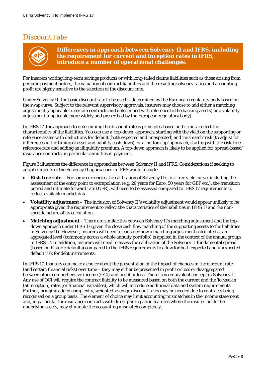## *Discount rate*



*Differences in approach between Solvency II and IFRS, including the requirement for current and inception rates in IFRS, introduce a number of operational challenges.* 

For insurers writing long-term savings products or with long-tailed claims liabilities such as those arising from periodic payment orders, the valuation of contract liabilities and the resulting solvency ratios and accounting profit are highly sensitive to the selection of the discount rate.

Under Solvency II, the basic discount rate to be used is determined by the European regulatory body based on the swap curve. Subject to the relevant supervisory approvals, insurers may choose to add either a matching adjustment (applicable to certain contracts and determined with reference to the backing assets) or a volatility adjustment (applicable more widely and prescribed by the European regulatory body).

In IFRS 17, the approach to determining the discount rate is principles-based and it must reflect the characteristics of the liabilities. You can use a 'top-down' approach, starting with the yield on the supporting or reference assets with deductions for default (both expected and unexpected) and 'mismatch' risk (to adjust for differences in the timing of asset and liability cash flows), or a 'bottom-up' approach, starting with the risk-free reference rate and adding an illiquidity premium. A top-down approach is likely to be applied for 'spread-based' insurance contracts, in particular annuities in payment.

Figure 3 illustrates the difference in approaches between Solvency II and IFRS. Considerations if seeking to adopt elements of the Solvency II approaches in IFRS would include:

- **Risk free rate** For some currencies the calibration of Solvency II's risk-free yield curve, including the assessment of the entry point to extrapolation (e.g. 20 years for Euro, 50 years for GBP etc.), the transition period and ultimate forward rate (UFR), will need to be assessed compared to IFRS 17 requirements to reflect available market data.
- **Volatility adjustment** The inclusion of Solvency II's volatility adjustment would appear unlikely to be appropriate given the requirement to reflect the characteristics of the liabilities in IFRS 17 and the nonspecific nature of its calculation.
- **Matching adjustment** There are similarities between Solvency II's matching adjustment and the topdown approach under IFRS 17 (given the close cash flow matching of the supporting assets to the liabilities in Solvency II). However, insurers will need to consider how a matching adjustment calculated at an aggregated level (commonly across a whole annuity portfolio) is applied in the context of the annual groups in IFRS 17. In addition, insurers will need to assess the calibration of the Solvency II fundamental spread (based on historic defaults) compared to the IFRS requirements to allow for both expected and unexpected default risk for debt instruments.

In IFRS 17, insurers can make a choice about the presentation of the impact of changes in the discount rate (and certain financial risks) over time – they may either be presented in profit or loss or disaggregated between other comprehensive income (OCI) and profit or loss. There is no equivalent concept in Solvency II. Any use of OCI will require the contract liability to be measured based on both the current and the 'locked-in' (at inception) rates (or financial variables), which will introduce additional data and system requirements. Further, bringing added complexity, weighted-average discount rates may be needed due to contracts being recognised on a group basis. The element of choice may limit accounting mismatches in the income statement and, in particular for insurance contracts with direct participation features where the insurer holds the underlying assets, may eliminate the accounting mismatch completely.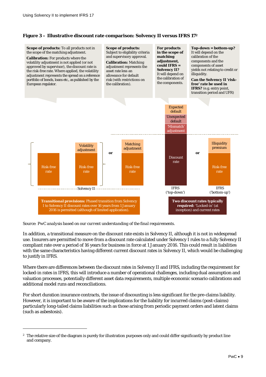### **Figure 3 – Illustrative discount rate comparison: Solvency II versus IFRS 172**



*Source: PwC analysis based on our current understanding of the final requirements.*

 $\overline{a}$ 

In addition, a transitional measure on the discount rate exists in Solvency II, although it is not in widespread use. Insurers are permitted to move from a discount rate calculated under Solvency I rules to a fully Solvency II compliant rate over a period of 16 years for business in force at 1 January 2016. This could result in liabilities with the same characteristics having different current discount rates in Solvency II, which would be challenging to justify in IFRS.

Where there are differences between the discount rates in Solvency II and IFRS, including the requirement for locked-in rates in IFRS, this will introduce a number of operational challenges, including dual assumption and valuation processes, potentially different asset data requirements, multiple economic scenario calibrations and additional model runs and reconciliations.

For short duration insurance contracts, the issue of discounting is less significant for the pre-claims liability. However, it is important to be aware of the implications for the liability for incurred claims (post-claims) particularly long-tailed claims liabilities such as those arising from periodic payment orders and latent claims (such as asbestosis).

<sup>&</sup>lt;sup>2</sup> The relative size of the diagram is purely for illustration purposes only and could differ significantly by product line and company.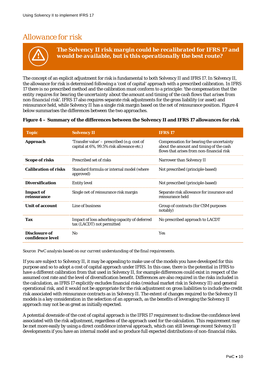# *Allowance for risk*

*The Solvency II risk margin could be recalibrated for IFRS 17 and would be available, but is this operationally the best route?* 

The concept of an explicit adjustment for risk is fundamental to both Solvency II and IFRS 17. In Solvency II, the allowance for risk is determined following a 'cost of capital' approach with a prescribed calibration. In IFRS 17 there is no prescribed method and the calibration must conform to a principle: *'the compensation that the entity requires for bearing the uncertainty about the amount and timing of the cash flows that arises from non-financial risk'*. IFRS 17 also requires separate risk adjustments for the gross liability (or asset) and reinsurance held, while Solvency II has a single risk margin based on the net of reinsurance position. Figure 4 below summarises the differences between the two approaches.

### **Figure 4 – Summary of the differences between the Solvency II and IFRS 17 allowances for risk**

| <b>Topic</b>                             | <b>Solvency II</b>                                                                       | <b>IFRS 17</b>                                                                                                                   |
|------------------------------------------|------------------------------------------------------------------------------------------|----------------------------------------------------------------------------------------------------------------------------------|
| Approach                                 | 'Transfer value' – prescribed (e.g. cost of<br>capital at 6%, 99.5% risk allowance etc.) | Compensation for bearing the uncertainty<br>about the amount and timing of the cash<br>flows that arises from non-financial risk |
| Scope of risks                           | Prescribed set of risks                                                                  | Narrower than Solvency II                                                                                                        |
| <b>Calibration of risks</b>              | Standard formula or internal model (where<br>approved)                                   | Not prescribed (principle-based)                                                                                                 |
| <b>Diversification</b>                   | <b>Entity level</b>                                                                      | Not prescribed (principle-based)                                                                                                 |
| <b>Impact of</b><br>reinsurance          | Single net of reinsurance risk margin                                                    | Separate risk allowance for insurance and<br>reinsurance held                                                                    |
| <b>Unit of account</b>                   | Line of business                                                                         | Group of contracts (for CSM purposes<br>notably)                                                                                 |
| Tax                                      | Impact of loss adsorbing capacity of deferred<br>tax (LACDT) not permitted               | No prescribed approach to LACDT                                                                                                  |
| <b>Disclosure of</b><br>confidence level | N <sub>0</sub>                                                                           | <b>Yes</b>                                                                                                                       |

*Source: PwC analysis based on our current understanding of the final requirements.*

If you are subject to Solvency II, it may be appealing to make use of the models you have developed for this purpose and so to adopt a cost of capital approach under IFRS. In this case, there is the potential in IFRS to have a different calibration from that used in Solvency II, for example differences could exist in respect of the assumed cost rate and the level of diversification benefit. Differences are also required in the risks included in the calculation, as IFRS 17 explicitly excludes financial risks (residual market risk in Solvency II) and general operational risk, and it would not be appropriate for the risk adjustment on gross liabilities to include the credit risk associated with reinsurance contracts as in Solvency II. The extent of changes required to the Solvency II models is a key consideration in the selection of an approach, as the benefits of leveraging the Solvency II approach may not be as great as initially expected.

A potential downside of the cost of capital approach is the IFRS 17 requirement to disclose the confidence level associated with the risk adjustment, regardless of the approach used for the calculation. This requirement may be met more easily by using a direct confidence interval approach, which can still leverage recent Solvency II developments if you have an internal model and so produce full expected distributions of non-financial risks.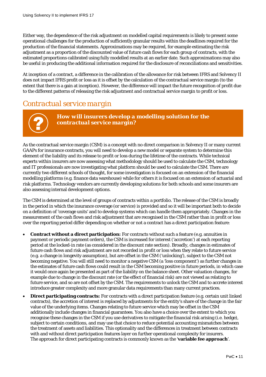Either way, the dependence of the risk adjustment on modelled capital requirements is likely to present some operational challenges for the production of sufficiently granular results within the deadlines required for the production of the financial statements. Approximations may be required, for example estimating the risk adjustment as a proportion of the discounted value of future cash flows for each group of contracts, with the estimated proportions calibrated using fully modelled results at an earlier date. Such approximations may also be useful in producing the additional information required for the disclosure of reconciliations and sensitivities.

At inception of a contract, a difference in the calibration of the allowance for risk between IFRS and Solvency II does not impact IFRS profit or loss as it is offset by the calculation of the contractual service margin (to the extent that there is a gain at inception). However, the difference will impact the future recognition of profit due to the different patterns of releasing the risk adjustment and contractual service margin to profit or loss.

# *Contractual service margin*



*How will insurers develop a modelling solution for the contractual service margin?* 

As the contractual service margin (CSM) is a concept with no direct comparison in Solvency II or many current GAAPs for insurance contracts, you will need to develop a new model or separate system to determine this element of the liability and its release to profit or loss during the lifetime of the contracts. While technical experts within insurers are now assessing what methodology should be used to calculate the CSM, technology and IT professionals are now investigating what platform should be used to calculate the CSM. There are currently two different schools of thought, for some investigation is focused on an extension of the financial modelling platforms (e.g. finance data warehouse) while for others it is focused on an extension of actuarial and risk platforms. Technology vendors are currently developing solutions for both schools and some insurers are also assessing internal development options.

The CSM is determined at the level of groups of contracts within a portfolio. The release of the CSM is broadly in the period in which the insurance coverage (or service) is provided and so it will be important both to decide on a definition of 'coverage units' and to develop systems which can handle them appropriately. Changes in the measurement of the cash flows and risk adjustment that are recognised in the CSM rather than in profit or loss over the reporting period differ depending on whether or not a contract has a direct participation feature:

- **Contract without a direct participation:** For contracts without such a feature (e.g. annuities in payment or periodic payment orders), the CSM is increased for interest ('accretion') at each reporting period at the locked-in rate (as considered in the discount rate section). Broadly, changes in estimates of future cash flows and risk adjustment are not recorded in profit or loss when they relate to future service (e.g. a change in longevity assumption), but are offset in the CSM ('unlocking'), subject to the CSM not becoming negative. You will still need to monitor a negative CSM (a 'loss component') as further changes in the estimates of future cash flows could result in the CSM becoming positive in future periods, in which case it would once again be presented as part of the liability on the balance sheet. Other valuation changes, for example due to change in the discount rate (or the effect of financial risk) are not viewed as relating to future service, and so are not offset by the CSM. The requirements to unlock the CSM and to accrete interest introduce greater complexity and more granular data requirements than many current practices.
- **Direct participating contracts:** For contracts with a direct participation feature (e.g. certain unit linked contracts), the accretion of interest is replaced by adjustments for the entity's share of the change in the fair value of the underlying items. Changes relating to future service which may be offset in the CSM additionally include changes in financial guarantees. You also have a choice over the extent to which you recognise these changes in the CSM if you use derivatives to mitigate the financial risk arising (i.e. hedge), subject to certain conditions, and may use that choice to reduce potential accounting mismatches between the treatment of assets and liabilities. This optionality and the differences in treatment between contracts with and without direct participation features layer on further operational complexity for insurers. The approach for direct participating contracts is commonly known as the '**variable fee approach**'.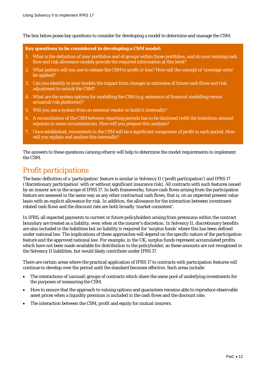The box below poses key questions to consider for developing a model to determine and manage the CSM.

### **Key questions to be considered in developing a CSM model:**

- 1. What is the definition of your portfolios and of groups within those portfolios, and do your existing cash flow and risk allowance models provide the required information at this level?
- 2. What pattern will you use to release the CSM to profit or loss? How will the concept of 'coverage units' be applied?
- 3. Can you identify in your models the impact from changes in estimates of future cash flows and risk adjustment to unlock the CSM?
- 4. What are the system options for modelling the CSM (e.g. extension of financial modelling versus actuarial/risk platforms)?
- 5. Will you use a system from an external vendor or build it internally?
- 6. A reconciliation of the CSM between reporting periods has to be disclosed (with the transition amount separate in some circumstances). How will you prepare this analysis?
- 7. Once established, movements in the CSM will be a significant component of profit in each period. How will you explain and analyse this internally?

The answers to these questions (among others) will help to determine the model requirements to implement the CSM.

## *Profit participations*

The basic definition of a 'participation' feature is similar in Solvency II ('profit participation') and IFRS 17 ('discretionary participation' with or without significant insurance risk). All contracts with such features issued by an insurer are in the scope of IFRS 17. In both frameworks, future cash flows arising from the participation feature are assessed in the same way as any other contractual cash flows, that is, on an expected present value basis with an explicit allowance for risk. In addition, the allowance for the interaction between investmentrelated cash flows and the discount rate are both broadly 'market consistent'.

In IFRS, all expected payments to current or future policyholders arising from premiums within the contract boundary are treated as a liability, even when at the insurer's discretion. In Solvency II, discretionary benefits are also included in the liabilities but no liability is required for 'surplus funds' where this has been defined under national law. The implications of these approaches will depend on the specific nature of the participation feature and the approved national law. For example, in the UK, surplus funds represent accumulated profits which have not been made available for distribution to the policyholder, so these amounts are not recognised in the Solvency II liabilities, but would likely contribute under IFRS 17.

There are certain areas where the practical application of IFRS 17 to contracts with participation features will continue to develop over the period until the standard becomes effective. Such areas include:

- The interactions of (annual) groups of contracts which share the same pool of underlying investments for the purposes of measuring the CSM.
- How to ensure that the approach to valuing options and guarantees remains able to reproduce observable asset prices when a liquidity premium is included in the cash flows and the discount rate.
- The interaction between the CSM, profit and equity for mutual insurers.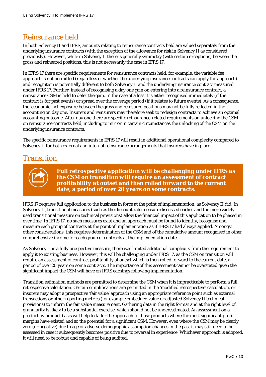# *Reinsurance held*

In both Solvency II and IFRS, amounts relating to reinsurance contracts held are valued separately from the underlying insurance contracts (with the exception of the allowance for risk in Solvency II as considered previously). However, while in Solvency II there is generally symmetry (with certain exceptions) between the gross and reinsured positions, this is not necessarily the case in IFRS 17.

In IFRS 17 there are specific requirements for reinsurance contracts held; for example, the variable fee approach is not permitted (regardless of whether the underlying insurance contracts can apply the approach) and recognition is potentially different to both Solvency II and the underlying insurance contract measured under IFRS 17. Further, instead of recognising a day one gain on entering into a reinsurance contract, a reinsurance CSM is held to defer the gain. In the case of a loss it is either recognised immediately (if the contract is for past events) or spread over the coverage period (if it relates to future events). As a consequence, the 'economic' net exposure between the gross and reinsured positions may not be fully reflected in the accounting on day one. Insurers and reinsurers may therefore seek to redesign contracts to achieve an optimal accounting outcome. After day one there are specific reinsurance-related requirements on unlocking the CSM on reinsurance contracts held, including to mirror in certain circumstances the unlocking of the CSM on the underlying insurance contracts.

The specific reinsurance requirements in IFRS 17 will result in additional operational complexity compared to Solvency II for both external and internal reinsurance arrangements that insurers have in place.

## *Transition*



*Full retrospective application will be challenging under IFRS as the CSM on transition will require an assessment of contract profitability at outset and then rolled forward to the current date, a period of over 20 years on some contracts.* 

IFRS 17 requires full application to the business in force at the point of implementation, as Solvency II did. In Solvency II, transitional measures (such as the discount rate measure discussed earlier and the more widely used transitional measure on technical provisions) allow the financial impact of this application to be phased in over time. In IFRS 17, no such measures exist and an approach must be found to identify, recognise and measure each group of contracts at the point of implementation as if IFRS 17 had always applied. Amongst other considerations, this requires determination of the CSM and of the cumulative amount recognised in other comprehensive income for each group of contracts at the implementation date.

As Solvency II is a fully prospective measure, there was limited additional complexity from the requirement to apply it to existing business. However, this will be challenging under IFRS 17, as the CSM on transition will require an assessment of contract profitability at outset which is then rolled forward to the current date, a period of over 20 years on some contracts. The importance of this assessment cannot be overstated given the significant impact the CSM will have on IFRS earnings following implementation.

Transition estimation methods are permitted to determine the CSM when it is impracticable to perform a full retrospective calculation. Certain simplifications are permitted in the 'modified retrospective' calculation, or insurers may adopt a prospective 'fair value' approach using an appropriate reference point such as external transactions or other reporting metrics (for example embedded value or adjusted Solvency II technical provisions) to inform the fair value measurement. Gathering data in the right format and at the right level of granularity is likely to be a substantial exercise, which should not be underestimated. An assessment on a product by product basis will help to tailor the approach to those products where the most significant profit margins have existed and so the potential for a significant CSM. However, even where the CSM may be clearly zero (or negative) due to age or adverse demographic assumption changes in the past it may still need to be assessed in case it subsequently becomes positive due to reversal in experience. Whichever approach is adopted, it will need to be robust and capable of being audited.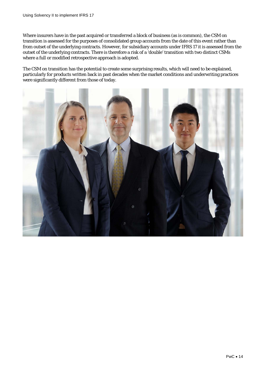Where insurers have in the past acquired or transferred a block of business (as is common), the CSM on transition is assessed for the purposes of consolidated group accounts from the date of this event rather than from outset of the underlying contracts. However, for subsidiary accounts under IFRS 17 it is assessed from the outset of the underlying contracts. There is therefore a risk of a 'double' transition with two distinct CSMs where a full or modified retrospective approach is adopted.

The CSM on transition has the potential to create some surprising results, which will need to be explained, particularly for products written back in past decades when the market conditions and underwriting practices were significantly different from those of today.

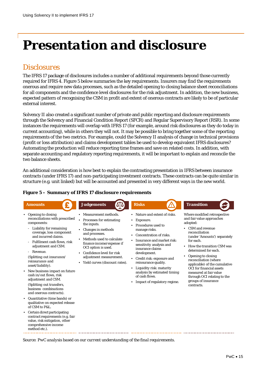# *Presentation and disclosure*

## *Disclosures*

The IFRS 17 package of disclosures includes a number of additional requirements beyond those currently required for IFRS 4. Figure 5 below summaries the key requirements. Insurers may find the requirements onerous and require new data processes, such as the detailed opening to closing balance sheet reconciliations for all components and the confidence level disclosures for the risk adjustment. In addition, the new business, expected pattern of recognising the CSM in profit and extent of onerous contracts are likely to be of particular external interest.

Solvency II also created a significant number of private and public reporting and disclosure requirements through the Solvency and Financial Condition Report (SFCR) and Regular Supervisory Report (RSR). In some instances the requirements will overlap with IFRS 17 (for example, around risk disclosures as they do today in current accounting), while in others they will not. It may be possible to bring together some of the reporting requirements of the two metrics. For example, could the Solvency II analysis of change in technical provisions (profit or loss attribution) and claims development tables be used to develop equivalent IFRS disclosures? Automating the production will reduce reporting time frames and save on related costs. In addition, with separate accounting and regulatory reporting requirements, it will be important to explain and reconcile the two balance sheets.

An additional consideration is how best to explain the contrasting presentation in IFRS between insurance contracts (under IFRS 17) and non-participating investment contracts. These contracts can be quite similar in structure (e.g. unit linked) but will be accounted and presented in very different ways in the new world.

### **Figure 5 – Summary of IFRS 17 disclosure requirements**

| <b>Amounts</b>                                                                                                                                                                                                                                                                                                                                                                                                                                                                                                                                                                                                                                                                                            | <b>Judgements</b>                                                                                                                                                                                                                                                                               | <b>Risks</b>                                                                                                                                                                                                                                                                                                                                                                                                  | <b>Transition</b>                                                                                                                                                                                                                                                                                                                                                                                                                        |
|-----------------------------------------------------------------------------------------------------------------------------------------------------------------------------------------------------------------------------------------------------------------------------------------------------------------------------------------------------------------------------------------------------------------------------------------------------------------------------------------------------------------------------------------------------------------------------------------------------------------------------------------------------------------------------------------------------------|-------------------------------------------------------------------------------------------------------------------------------------------------------------------------------------------------------------------------------------------------------------------------------------------------|---------------------------------------------------------------------------------------------------------------------------------------------------------------------------------------------------------------------------------------------------------------------------------------------------------------------------------------------------------------------------------------------------------------|------------------------------------------------------------------------------------------------------------------------------------------------------------------------------------------------------------------------------------------------------------------------------------------------------------------------------------------------------------------------------------------------------------------------------------------|
| • Opening to closing<br>reconciliations with prescribed<br>components:<br>Liability for remaining<br>coverage, loss component<br>and incurred claims.<br>Fulfilment cash flows, risk<br>adjustment and CSM.<br>Revenue.<br>(Splitting out insurance/<br>reinsurance and<br>asset/liability).<br>• New business impact on future<br>cash in/out flows. risk<br>adjustment and CSM.<br>(Splitting out transfers,<br>business combinations<br>and onerous contracts).<br>• Quantitative (time bands) or<br>qualitative on expected release<br>of CSM to P&L.<br>• Certain direct participating<br>contract requirements (e.g. fair<br>value, risk mitigation, other<br>comprehensive income<br>method etc.). | Measurement methods.<br>Processes for estimating<br>the inputs.<br>Changes in methods<br>and processes.<br>Methods used to calculate<br>finance income/expense if<br>OCI option is used.<br>Confidence level for risk<br>$\bullet$<br>adjustment measurement.<br>Yield curves (discount rates). | Nature and extent of risks.<br>$\bullet$<br>Exposure.<br>$\bullet$<br>• Procedures used to<br>manage risks.<br>Concentration of risks.<br>• Insurance and market risk:<br>sensitivity analysis and<br>insurance claims<br>development.<br>• Credit risk: exposure and<br>reinsurance quality.<br>Liquidity risk: maturity<br>analysis by estimated timing<br>of cash flows.<br>• Impact of regulatory regime. | Where modified retrospective<br>and fair value approaches<br>adopted:<br>• CSM and revenue<br>reconciliation<br>(under 'Amounts') separately<br>for each.<br>• How the transition CSM was<br>determined for each.<br>Opening to closing<br>$\bullet$<br>reconciliation (where<br>applicable) of the cumulative<br>OCI for financial assets<br>measured at fair value<br>through OCI relating to the<br>groups of insurance<br>contracts. |

*Source: PwC analysis based on our current understanding of the final requirements.*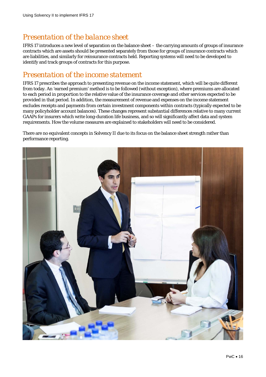# *Presentation of the balance sheet*

IFRS 17 introduces a new level of separation on the balance sheet – the carrying amounts of groups of insurance contracts which are assets should be presented separately from those for groups of insurance contracts which are liabilities, and similarly for reinsurance contracts held. Reporting systems will need to be developed to identify and track groups of contracts for this purpose.

## *Presentation of the income statement*

IFRS 17 prescribes the approach to presenting revenue on the income statement, which will be quite different from today. An 'earned premium' method is to be followed (without exception), where premiums are allocated to each period in proportion to the relative value of the insurance coverage and other services expected to be provided in that period. In addition, the measurement of revenue and expenses on the income statement excludes receipts and payments from certain investment components within contracts (typically expected to be many policyholder account balances). These changes represent substantial differences relative to many current GAAPs for insurers which write long-duration life business, and so will significantly affect data and system requirements. How the volume measures are explained to stakeholders will need to be considered.

There are no equivalent concepts in Solvency II due to its focus on the balance sheet strength rather than performance reporting.

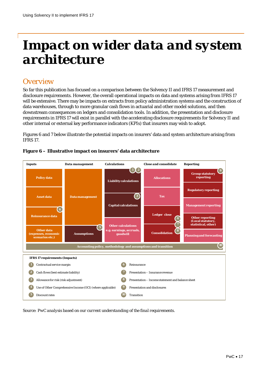# *Impact on wider data and system architecture*

## *Overview*

So far this publication has focused on a comparison between the Solvency II and IFRS 17 measurement and disclosure requirements. However, the overall operational impacts on data and systems arising from IFRS 17 will be extensive. There may be impacts on extracts from policy administration systems and the construction of data warehouses, through to more granular cash flows in actuarial and other model solutions, and then downstream consequences on ledgers and consolidation tools. In addition, the presentation and disclosure requirements in IFRS 17 will exist in parallel with the accelerating disclosure requirements for Solvency II and other internal or external key performance indicators (KPIs) that insurers may wish to adopt.

Figures 6 and 7 below illustrate the potential impacts on insurers' data and system architecture arising from IFRS 17.



### **Figure 6 – Illustrative impact on insurers' data architecture**

*Source: PwC analysis based on our current understanding of the final requirements.*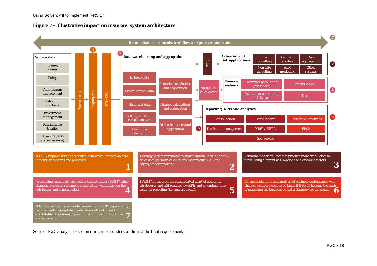



*Source: PwC analysis based on our current understanding of the final requirements.*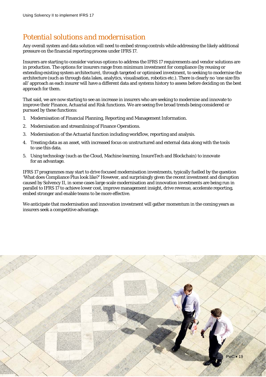# *Potential solutions and modernisation*

Any overall system and data solution will need to embed strong controls while addressing the likely additional pressure on the financial reporting process under IFRS 17.

Insurers are starting to consider various options to address the IFRS 17 requirements and vendor solutions are in production. The options for insurers range from minimum investment for compliance (by reusing or extending existing system architecture), through targeted or optimised investment, to seeking to modernise the architecture (such as through data lakes, analytics, visualisation, robotics etc.). There is clearly no 'one size fits all' approach as each insurer will have a different data and systems history to assess before deciding on the best approach for them.

That said, we are now starting to see an increase in insurers who are seeking to modernise and innovate to improve their Finance, Actuarial and Risk functions. We are seeing five broad trends being considered or pursued by these functions:

- 1. Modernisation of Financial Planning, Reporting and Management Information.
- 2. Modernisation and streamlining of Finance Operations.
- 3. Modernisation of the Actuarial function including workflow, reporting and analysis.
- 4. Treating data as an asset, with increased focus on unstructured and external data along with the tools to use this data.
- 5. Using technology (such as the Cloud, Machine learning, InsureTech and Blockchain) to innovate for an advantage.

IFRS 17 programmes may start to drive focused modernisation investments, typically fuelled by the question 'What does Compliance Plus look like?' However, and surprisingly given the recent investment and disruption caused by Solvency II, in some cases large scale modernisation and innovation investments are being run in parallel to IFRS 17 to achieve lower cost, improve management insight, drive revenue, accelerate reporting, embed stronger and enable teams to be more effective.

We anticipate that modernisation and innovation investment will gather momentum in the coming years as insurers seek a competitive advantage.

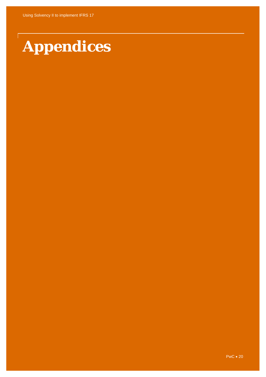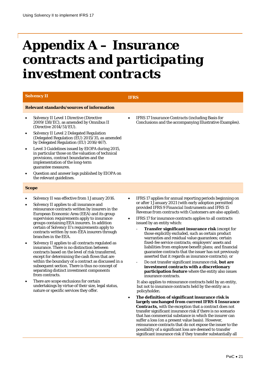# *Appendix A – Insurance contracts and participating investment contracts*

|                        | <b>Solvency II</b>                                                                                                                                                                                        | <b>IFRS</b> |                                                                                                                                                                                                                                      |
|------------------------|-----------------------------------------------------------------------------------------------------------------------------------------------------------------------------------------------------------|-------------|--------------------------------------------------------------------------------------------------------------------------------------------------------------------------------------------------------------------------------------|
|                        | <b>Relevant standards/sources of information</b>                                                                                                                                                          |             |                                                                                                                                                                                                                                      |
|                        | <b>Solvency II Level 1 Directive (Directive</b><br>2009/138/EC), as amended by Omnibus II<br>(Directive 2014/51/EU).                                                                                      |             | IFRS 17 <i>Insurance Contracts</i> (including Basis for<br>Conclusions and the accompanying Illustrative Examples).                                                                                                                  |
| $\bullet$              | Solvency II Level 2 Delegated Regulation<br>(Delegated Regulation (EU) 2015/35, as amended<br>by Delegated Regulation (EU) 2016/467).                                                                     |             |                                                                                                                                                                                                                                      |
| $\bullet$              | Level 3 Guidelines issued by EIOPA during 2015,<br>in particular those on the valuation of technical<br>provisions, contract boundaries and the<br>implementation of the long-term<br>guarantee measures. |             |                                                                                                                                                                                                                                      |
|                        | Question and answer logs published by EIOPA on<br>the relevant guidelines.                                                                                                                                |             |                                                                                                                                                                                                                                      |
|                        | <b>Scope</b>                                                                                                                                                                                              |             |                                                                                                                                                                                                                                      |
| $\bullet$<br>$\bullet$ | Solvency II was effective from 1 January 2016.<br>Solvency II applies to all insurance and<br>reinsurance contracts written by insurers in the<br>European Economic Area (EEA) and its group              | $\bullet$   | IFRS 17 applies for annual reporting periods beginning on<br>or after 1 January 2021 (with early adoption permitted<br>provided IFRS 9 Financial Instruments and IFRS 15<br>Revenue from contracts with Customers are also applied). |

- IFRS 17 for insurance contracts applies to all contracts issued by an entity which:
	- **Transfer significant insurance risk (except for** those explicitly excluded, such as certain product warranties and residual value guarantees; certain fixed-fee service contracts; employers' assets and liabilities from employee benefit plans; and financial guarantee contracts that the issuer has not previously asserted that it regards as insurance contracts); or
	- Do not transfer significant insurance risk, **but are investment contracts with a discretionary participation feature** where the entity also issues insurance contracts.

It also applies to reinsurance contracts held by an entity, but not to insurance contracts held by the entity as a policyholder**.** 

 **The definition of significant insurance risk is largely unchanged from current IFRS 4** *Insurance Contracts***,** with the exception that a contract does not transfer significant insurance risk if there is no scenario that has commercial substance in which the insurer can suffer a loss (on a present value basis). However, reinsurance contracts that do not expose the issuer to the possibility of a significant loss are deemed to transfer significant insurance risk if they transfer substantially all

- European Economic Area (EEA) and its group supervision requirements apply to insurance groups containing EEA insurers. In addition certain of Solvency II's requirements apply to contracts written by non-EEA insurers through branches in the EEA.
- Solvency II applies to all contracts regulated as insurance. There is no distinction between contracts based on the level of risk transferred, except for determining the cash flows that are within the boundary of a contract as discussed in a subsequent section. There is thus no concept of separating distinct investment components from contracts.
- There are scope exclusions for certain undertakings by virtue of their size, legal status, nature or specific services they offer.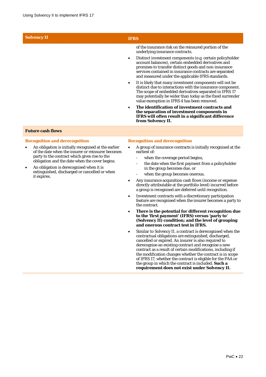| <b>Solvency II</b>       | <b>IFRS</b>                                                                                                                                                                                                                                                                                                |
|--------------------------|------------------------------------------------------------------------------------------------------------------------------------------------------------------------------------------------------------------------------------------------------------------------------------------------------------|
|                          | of the insurance risk on the reinsured portion of the<br>underlying insurance contracts.                                                                                                                                                                                                                   |
|                          | Distinct investment components (e.g. certain policyholder<br>$\bullet$<br>account balances), certain embedded derivatives and<br>promises to transfer distinct goods and non-insurance<br>services contained in insurance contracts are separated<br>and measured under the applicable IFRS standards.     |
|                          | It is likely that many investment components will not be<br>$\bullet$<br>distinct due to interactions with the insurance component.<br>The scope of embedded derivatives separated in IFRS 17<br>may potentially be wider than today as the fixed surrender<br>value exemption in IFRS 4 has been removed. |
|                          | The identification of investment contracts and<br>the separation of investment components in<br>IFRS will often result in a significant difference<br>from Solvency II.                                                                                                                                    |
| <b>Future cash flows</b> |                                                                                                                                                                                                                                                                                                            |

### **Recognition and derecognition**

- An obligation is initially recognised at the earlier of the date when the insurer or reinsurer becomes party to the contract which gives rise to the obligation and the date when the cover begins.
- An obligation is derecognised when it is extinguished, discharged or cancelled or when it expires.

### **Recognition and derecognition**

- A group of insurance contracts is initially recognised at the earliest of:
	- when the coverage period begins,
	- the date when the first payment from a policyholder in the group becomes due, or
	- when the group becomes onerous.
- Any insurance acquisition cash flows (income or expense directly attributable at the portfolio level) incurred before a group is recognised are deferred until recognition.
- Investment contracts with a discretionary participation feature are recognised when the insurer becomes a party to the contract.
- **There is the potential for different recognition due to the 'first payment' (IFRS) versus 'party to' (Solvency II) condition; and the level of grouping and onerous contract test in IFRS.**
- Similar to Solvency II, a contract is derecognised when the contractual obligations are extinguished, discharged, cancelled or expired. An insurer is also required to derecognise an existing contract and recognise a new contract as a result of certain modifications, including if the modification changes whether the contract is in scope of IFRS 17, whether the contract is eligible for the PAA or the group in which the contract is included. **Such a requirement does not exist under Solvency II.**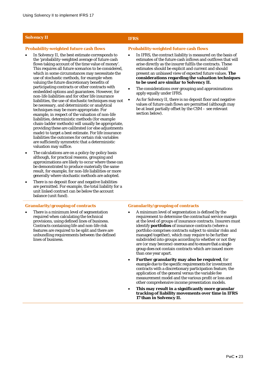### **Probability-weighted future cash flows**

- In Solvency II, the best estimate corresponds to the 'probability-weighted average of future cash flows taking account of the time value of money'. This requires all future scenarios to be considered, which in some circumstances may necessitate the use of stochastic methods, for example when valuing the future discretionary benefits of participating contracts or other contracts with embedded options and guarantees. However, for non-life liabilities and for other life insurance liabilities, the use of stochastic techniques may not be necessary, and deterministic or analytical techniques may be more appropriate. For example, in respect of the valuation of non-life liabilities, deterministic methods (for example chain-ladder methods) will usually be appropriate, providing these are calibrated (or else adjustments made) to target a best estimate. For life insurance liabilities the outcomes for certain risk variables are sufficiently symmetric that a deterministic valuation may suffice.
- The calculations are on a policy-by-policy basis although, for practical reasons, grouping and approximations are likely to occur where these can be demonstrated to produce materially the same result, for example, for non-life liabilities or more generally where stochastic methods are adopted.
- There is no deposit floor and negative liabilities are permitted. For example, the total liability for a unit linked contract can be below the account balance (unit fund).

### **Granularity/grouping of contracts**

 There is a minimum level of segmentation required when calculating the technical provisions, using defined lines of business. Contracts containing life and non-life risk features are required to be split and there are unbundling requirements between the defined lines of business.

### **Probability-weighted future cash flows**

- In IFRS, the contract liability is measured on the basis of estimates of the future cash inflows and outflows that will arise directly as the insurer fulfils the contracts. These estimates should be explicit and current and should present an unbiased view of expected future values. **The considerations regarding the valuation techniques to be used are similar to Solvency II.**
- The considerations over grouping and approximations apply equally under IFRS.
- As for Solvency II, there is no deposit floor and negative values of future cash flows are permitted (although may be at least partially offset by the CSM – see relevant section below).

### **Granularity/grouping of contracts**

- A minimum level of segmentation is defined by the requirement to determine the contractual service margin at the level of groups of insurance contracts. Insurers must identify **portfolios** of insurance contracts (where a portfolio comprises contracts subject to similar risks and managed together), which may require to be further subdivided into groups according to whether or not they are (or may become) onerous and to ensure that a single group does not contain contracts which are issued more than one year apart.
- **Further granularity may also be required**, for example due to the specific requirements for investment contracts with a discretionary participation feature, the application of the general versus the variable fee measurement model and the various profit or loss and other comprehensive income presentation models.
- **This may result in a significantly more granular tracking of liability movements over time in IFRS 17 than in Solvency II.**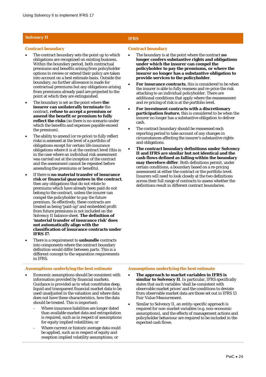### **Contract boundary**

- The contract boundary sets the point up to which obligations are recognised on existing business. Within the boundary period, both contractual premiums and benefits arising from policyholder options to review or extend their policy are taken into account on a best estimate basis. Outside the boundary, no further allowance is made for contractual premiums but any obligations arising from premiums already paid are projected to the point at which they are extinguished.
- The boundary is set as the point where **the insurer can unilaterally terminate** the contract, **refuse to accept a premium or amend the benefit or premium to fully reflect the risks** (so there is no scenario under which the benefits and expenses payable exceed the premium).
- The ability to amend (or re-price) to fully reflect risks is assessed at the level of a portfolio of obligations except for certain life insurance obligations where it is at the contract level (this is in the case where an individual risk assessment was carried out at the inception of the contract and the assessment cannot be repeated before amending the premiums or benefits).
- If there is **no material transfer of insurance risk or financial guarantees in the contract**, then any obligations that do not relate to premiums which have already been paid do not belong to the contract, unless the insurer can compel the policyholder to pay the future premium. So effectively, these contracts are treated as being **'**paid-up**'** and embedded profit from future premiums is not included on the Solvency II balance sheet. **The definition of 'material transfer of insurance risk' does not automatically align with the classification of insurance contracts under IFRS 17.**
- There is a requirement to **unbundle** contracts into components where the contract boundary definition would differ between parts. This is a different concept to the separation requirements in IFRS.

### **Assumptions underlying the best estimate**

- Economic assumptions should be consistent with information provided by financial markets. Guidance is provided as to what constitutes deep, liquid and transparent financial market data to be used unadjusted in the valuation and where data does not have these characteristics, how the data should be treated. This is important:
	- Where insurance liabilities are longer dated than available market data and extrapolation is required, such as in respect of assumptions for equity implied volatilities; or
	- Where current or historic average data could be applied, such as in respect of equity and swaption implied volatility assumptions; or

### **Contract boundary**

- The boundary is at the point where the contract **no longer confers substantive rights and obligations under which the insurer can compel the policyholder to pay the premiums, or where the insurer no longer has a substantive obligation to provide services to the policyholder**.
- **For insurance contracts**, this is considered to be when the insurer is able to fully reassess and re-price the risk attaching to an individual policyholder. There are additional conditions that apply where the reassessment and re-pricing of risk is at the portfolio level.
- **For investment contracts with a discretionary participation feature**, this is considered to be when the insurer no longer has a substantive obligation to deliver cash.
- The contract boundary should be reassessed each reporting period to take account of any changes in circumstances affecting the insurer's substantive rights and obligations.
- **The contract boundary definitions under Solvency II and IFRS are similar but not identical and the cash flows defined as falling within the boundary may therefore differ**. Both definitions permit, under certain conditions, a boundary based on a re-pricing assessment at either the contract or the portfolio level. Insurers will need to look closely at the two definitions across their full range of contracts to assess whether the definitions result in different contract boundaries.

### **Assumptions underlying the best estimate**

- **The approach to market variables in IFRS is similar to Solvency II**. In particular, IFRS specifically states that such variables 'shall be consistent with observable market prices' and the conditions to deviate from observable market data are those set out in IFRS 13 *Fair Value Measurement*.
- Similar to Solvency II, an entity-specific approach is required for non-market variables (e.g. non-economic assumptions), and the effects of management actions and policyholder behaviour are required to be included in the expected cash flows.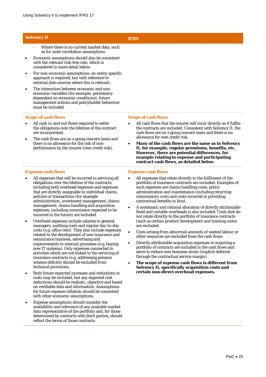- Where there is no current market data, such as for asset correlation assumptions.
- Economic assumptions should also be consistent with the relevant risk-free rate, which is considered in more detail below.
- For non-economic assumptions, an entity-specific approach is required, but with reference to external data sources where this is relevant.
- The interaction between economic and noneconomic variables (for example, persistency dependent on economic conditions), future management actions and policyholder behaviour must be included.

### **Scope of cash flows**

- All cash in-and out-flows required to settle the obligations over the lifetime of the contract are incorporated.
- The cash flows are on a going concern basis and there is no allowance for the risk of nonperformance by the insurer (own credit risk).

### **Expense cash flows**

- All expenses that will be incurred in servicing all obligations over the lifetime of the contracts, including both overhead expenses and expenses that are directly assignable to individual claims, policies or transactions (for example administration, investment management, claims management, claims handling and acquisition expenses, including commission expected to be incurred in the future) are included.
- Overhead expenses include salaries to general managers, auditing costs and regular day-to-day costs (e.g. office rent). They also include expenses related to the development of new insurance and reinsurance business, advertising and improvements to internal processes (e.g. buying new IT systems). Only expenses connected to activities which are not linked to the servicing of insurance contracts (e.g. addressing pension scheme deficits) should be excluded from technical provisions.
- Both future expected increases and reductions in costs may be included, but any expected cost reductions should be realistic, objective and based on verifiable data and information. Assumptions for future expense inflation should be consistent with other economic assumptions.
- Expense assumptions should consider the availability and relevance of any available market data representative of the portfolio and, for those determined by contracts with third parties, should reflect the terms of those contracts.

### **Scope of cash flows**

- All cash flows that the insurer will incur directly as it fulfils the contracts are included. Consistent with Solvency II, the cash flows are on a going concern basis and there is no allowance for own credit risk.
- **Many of the cash flows are the same as in Solvency II, for example, regular premiums, benefits, etc. However, there are potential differences, for example relating to expense and participating contract cash flows, as detailed below.**

### **Expense cash flows**

- All expenses that relate directly to the fulfilment of the portfolio of insurance contracts are included. Examples of such expenses are claims handling costs, policy administration and maintenance (including recurring commission) costs and costs incurred in providing contractual benefits in kind.
- A systematic and rational allocation of directly attributable fixed and variable overheads is also included. Costs that do not relate directly to the portfolio of insurance contracts (such as certain product development and training costs) are excluded.
- Costs arising from abnormal amounts of wasted labour or other resources are excluded from the cash flows.
- Directly attributable acquisition expenses in acquiring a portfolio of contracts are included in the cash flows and serve to reduce new business strain (implicit deferral through the contractual service margin).
- **The scope of expense cash flows is different from Solvency II, specifically acquisition costs and certain non-direct overhead expenses.**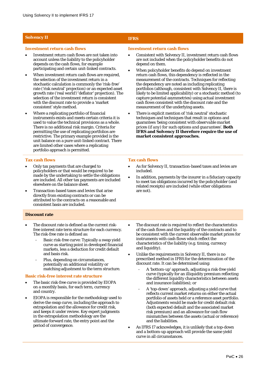**Investment return cash flows** 

consistent' style method.

portfolio approach is permitted.

 Only tax payments that are charged to policyholders or that would be required to be made by the undertaking to settle the obligations are included. All other tax payments are included

 Where a replicating portfolio of financial instruments exists and meets certain criteria it is used to value the technical provisions as a whole. There is no additional risk margin. Criteria for permitting the use of replicating portfolios are restrictive. The primary example provided is the unit balance on a pure unit-linked contract. There are limited other cases where a replicating

 Investment return cash flows are not taken into account unless the liability to the policyholder depends on the cash flows, for example participating and certain unit-linked contracts. When investment return cash flows are required, the selection of the investment return in a stochastic calculation is commonly the 'risk-free' rate ('risk neutral' projection) or an expected asset growth rate ('real world'/'deflator' projection). The selection of the investment return is consistent with the discount rate to provide a 'market

### **Solvency II IFRS**

### **Investment return cash flows**

- Consistent with Solvency II, investment return cash flows are not included when the policyholder benefits do not depend on them.
- When policyholder benefits do depend on investment return cash flows, this dependency is reflected in the measurement of the contracts. Techniques for reflecting the dependency are noted as including replicating portfolios (although, consistent with Solvency II, there is likely to be limited applicability) or a stochastic method (to capture potential asymmetries) using actual investment cash flows consistent with the discount rate and the measurement of the underlying assets.
- There is explicit mention of 'risk neutral' stochastic techniques and techniques that result in options and guarantees *'being consistent with observable market prices (if any) for such options and guarantees'*. **Both IFRS and Solvency II therefore require the use of market consistent approaches.**

### **Tax cash flows**

- As for Solvency II, transaction-based taxes and levies are included.
- In addition, payments by the insurer in a fiduciary capacity to meet tax obligations incurred by the policyholder (and related receipts) are included (while other obligations are not).
- elsewhere on the balance sheet. Transaction-based taxes and levies that arise directly from existing contracts or can be attributed to the contracts on a reasonable and consistent basis are included.

### **Discount rate**

**Tax cash flows** 

- The discount rate is defined as the current riskfree interest rate term structure for each currency. The risk-free rate is defined as:
	- Basic risk-free curve: Typically a swap yield curve as starting point in developed financial markets, less a deduction for credit default and basis risk.
	- Plus, depending on circumstances, potentially an additional volatility or matching adjustment to the term structure.

### **Basic risk-free interest rate structure**

- The basic risk-free curve is provided by EIOPA on a monthly basis, for each term, currency and country.
- EIOPA is responsible for the methodology used to derive the swap curve, including the approach to extrapolation and the allowance for credit risk, and keeps it under review. Key expert judgments in the extrapolation methodology are the ultimate forward rate, the entry point and the period of convergence.
- The discount rate is required to reflect the characteristics of the cash flows and the liquidity of the contracts and to be consistent with the current observable market prices for instruments with cash flows which reflect the characteristics of the liability (e.g. timing, currency and liquidity).
- Unlike the requirements in Solvency II, there is no prescribed method in IFRS for the determination of the discount rate. It can be determined using:
	- A 'bottom-up' approach, adjusting a risk-free yield curve (typically for an illiquidity premium reflecting the different liquidity characteristics between assets and insurance liabilities); or
	- A 'top-down' approach, adjusting a yield curve that reflects current market returns on either the actual portfolio of assets held or a reference asset portfolio. Adjustments would be made for credit default risk (both expected default and the associated market risk premium) and an allowance for cash flow mismatches between the assets (actual or reference) and the liabilities.
- As IFRS 17 acknowledges, it is unlikely that a top-down and a bottom-up approach will provide the same yield curve in all circumstances.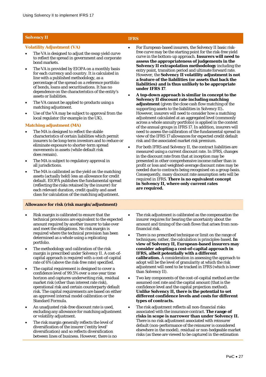### **Volatility Adjustment (VA)**

- The VA is designed to adjust the swap yield curve to reflect the spread in government and corporate bond markets.
- The VA is provided by EIOPA on a monthly basis for each currency and country. It is calculated in line with a published methodology, as a percentage of the spread on a reference portfolio of bonds, loans and securitisations. It has no dependence on the characteristics of the entity's assets or liabilities.
- The VA cannot be applied to products using a matching adjustment.
- Use of the VA may be subject to approval from the local regulator (for example in the UK).

### **Matching adjustment (MA)**

- The MA is designed to reflect the stable characteristics of certain liabilities which permit insurers to be long-term investors and to reduce or eliminate exposure to shorter-term spread movements in assets (while default risk does remain).
- The MA is subject to regulatory approval in all jurisdictions.
- The MA is calibrated as the yield on the matching assets (actually held) less an allowance for credit default. EIOPA publishes the fundamental spread (reflecting the risks retained by the insurer) for each relevant duration, credit quality and asset class for calculation of the matching adjustment.

### **Allowance for risk (risk margin/adjustment)**

- Risk margin is calibrated to ensure that the technical provisions are equivalent to the expected amount required by another insurer to take over and meet the obligations. No risk margin is required where the technical provision has been determined as a whole using a replicating portfolio.
- The methodology and calibration of the risk margin is prescribed under Solvency II. A cost-ofcapital approach is required with a cost-of-capital rate of 6% (above the risk-free rate) specified.
- The capital requirement is designed to cover a confidence level of 99.5% over a one-year time horizon and captures underwriting risk, residual market risk (other than interest rate risk), operational risk and certain counterparty default risk. The capital requirements are based on either an approved internal model calibration or the Standard Formula.
- An unadjusted risk-free discount rate is used, excluding any allowance for matching adjustment or volatility adjustment.
- The risk margin generally reflects the level of diversification of the insurer ('entity level' diversification) and so reflects diversification between lines of business. However, there is no
- For European-based insurers, the Solvency II basic riskfree curve may be the starting point for the risk-free yield curve in the bottom-up approach. **Insurers will need to assess the appropriateness of judgements in the Solvency II extrapolation methodology** including the entry point, transition period and ultimate forward rate. However, the **Solvency II volatility adjustment is not a feature of the liabilities (or assets that back the liabilities) and is thus unlikely to be appropriate under IFRS 17**.
- **A top-down approach is similar in concept to the Solvency II discount rate including matching adjustment** (given the close cash flow matching of the supporting assets to the liabilities in Solvency II)**.**  However, insurers will need to consider how a matching adjustment calculated at an aggregated level (commonly across a whole annuity portfolio) is applied in the context of the annual groups in IFRS 17. In addition, insurers will need to assess the calibration of the fundamental spread in view of the IFRS 17 allowances for expected credit default risk and the associated market risk premium.
- For both IFRS and Solvency II, the contract liabilities are measured using a current discount rate. In IFRS, changes in the discount rate from that at inception may be presented in other comprehensive income rather than in profit or loss and weighted-average discount rates may be needed due to contracts being recognised on a group basis. Consequently, many discount rate assumption sets will be required in IFRS. **There is no equivalent concept in Solvency II, where only current rates are required.**
- The risk adjustment is calibrated as the compensation the insurer requires for bearing the uncertainty about the amount and timing of the cash flows that arises from nonfinancial risk.
- There is no prescribed technique or limit on the range of techniques; rather, the calculation is principles-based. **In view of Solvency II, European-based insurers may consider adopting a cost-of-capital approach in IFRS, albeit potentially with a different calibration.** A consideration in assessing the approach to adopt will be the level of granularity at which the risk adjustment will need to be tracked in IFRS (which is lower than Solvency II).
- Two key components of the cost-of-capital method are the assumed cost rate and the capital amount (that is the confidence level and the capital projection method). **Unlike Solvency II, there is the potential to set different confidence levels and costs for different types of contracts.**
- The risk adjustment reflects all non-financial risks associated with the insurance contract. **The range of risks in scope is narrower than under Solvency II.** There is no risk adjustment associated with reinsurer default (non-performance of the reinsurer is considered elsewhere in the model), residual or non-hedgeable market risks (as these are viewed to be captured in the estimation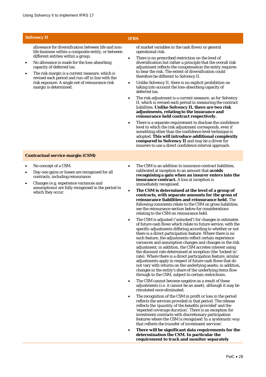allowance for diversification between life and nonlife business within a composite entity, or between different entities within a group.

- No allowance is made for the loss-absorbing capacity of deferred tax.
- The risk margin is a current measure, which is revised each period and run-off in line with the risk exposure. A single net of reinsurance risk margin is determined.

of market variables in the cash flows) or general operational risk.

- There is no prescribed restriction on the level of diversification but rather a principle that the overall risk adjustment reflects the compensation the entity requires to bear the risk. The extent of diversification could therefore be different to Solvency II.
- Unlike Solvency II, there is no explicit prohibition on taking into account the loss-absorbing capacity of deferred tax.
- The risk adjustment is a current measure, as for Solvency II, which is revised each period in measuring the contract liabilities. **Unlike Solvency II, there are two risk adjustments, relating to the insurance and reinsurance held contract respectively.**
- There is a separate requirement to disclose the confidence level to which the risk adjustment corresponds, even if something other than the confidence level technique is adopted. **This will introduce additional complexity compared to Solvency II** and may be a driver for insurers to use a direct confidence interval approach.

### **Contractual service margin (CSM)**

- No concept of a CSM.
- Day-one gains or losses are recognised for all contracts, including reinsurance.
- Changes (e.g. experience variances and assumptions) are fully recognised in the period in which they occur.
- The CSM is an addition to insurance contract liabilities, calibrated at inception to an amount that **avoids recognising a gain when an insurer enters into the insurance contract.** A loss at inception is immediately recognised.
- **The CSM is determined at the level of a group of contracts, with separate amounts for the gross of reinsurance liabilities and reinsurance held.** The following comments relate to the CSM on gross liabilities; see the reinsurance section below for considerations relating to the CSM on reinsurance held.
- The CSM is adjusted ('unlocked') for changes in estimates of future cash flows which relate to future service, with the specific adjustments differing according to whether or not there is a direct participation feature. Where there is no such feature, the adjustments reflect certain experience variances and assumption changes and changes in the risk adjustment; in addition, the CSM accretes interest using the discount rate determined at inception (the 'locked-in' rate). Where there is a direct participation feature, similar adjustments apply in respect of future cash flows that do not vary with returns on the underlying assets; in addition, changes in the entity's share of the underlying items flow through to the CSM, subject to certain restrictions.
- The CSM cannot become negative as a result of these adjustments (i.e. it cannot be an asset), although it may be reinstated once eliminated.
- The recognition of the CSM in profit or loss in the period reflects the services provided in that period. The release reflects the *'quantity of the benefits provided'* and the *'expected coverage duration'*. There is an exception for investment contracts with discretionary participation features where the CSM is recognised *'in a systematic way that reflects the transfer of investment services'*.
- **There will be significant data requirements for the determination the CSM. In particular the requirement to track and monitor separately**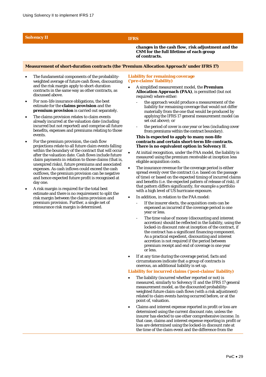**changes in the cash flow, risk adjustment and the CSM for the full lifetime of each group of contracts.**

### **Measurement of short-duration contracts (the 'Premium Allocation Approach' under IFRS 17)**

- The fundamental components of the probabilityweighted average of future cash flows, discounting and the risk margin apply to short-duration contracts in the same way as other contracts, as discussed above.
- For non-life insurance obligations, the best estimate for the **claims provision** and the **premium provision** is carried out separately.
- The claims provision relates to claim events already incurred at the valuation date (including incurred but not reported) and comprise all future benefits, expenses and premiums relating to those events.
- For the premium provision, the cash flow projections relate to all future claim events falling within the boundary of the contract that will occur after the valuation date. Cash flows include future claim payments in relation to those claims (that is, unexpired risks), future premiums and associated expenses. As cash inflows could exceed the cash outflows, the premium provision can be negative and hence expected future profit is recognised at day one.
- A risk margin is required for the total best estimate and there is no requirement to split the risk margin between the claims provision and premium provision. Further, a single net of reinsurance risk margin is determined.

### **Liability for remaining coverage ('pre-claims' liability)**

- A simplified measurement model, the **Premium Allocation Approach (PAA)**, is permitted (but not required) where either:
	- the approach would produce a measurement of the liability for remaining coverage that would not differ materially from the one that would be produced by applying the IFRS 17 general measurement model (as set out above); or
	- the period of cover is one year or less (including cover from premiums within the contract boundary).

### **This is expected to apply to many non-life contracts and certain short-term life contracts. There is no equivalent option in Solvency II**.

- At initial recognition, under the PAA model, the liability is measured using the premium receivable at inception less eligible acquisition costs.
- The insurance revenue for the coverage period is either spread evenly over the contract (i.e. based on the passage of time) or based on the expected timing of incurred claims and benefits (i.e. the expected pattern of release of risk), if that pattern differs significantly, for example a portfolio with a high level of US hurricane exposure.
- In addition, in relation to the PAA model:
	- If the insurer elects, the acquisition costs can be expensed as incurred if the coverage period is one year or less.
	- The time value of money (discounting and interest accretion) should be reflected in the liability, using the locked-in discount rate at inception of the contract, if the contract has a significant financing component. As a practical expedient, discounting and interest accretion is not required if the period between premium receipt and end of coverage is one year or less.
- If at any time during the coverage period, facts and circumstances indicate that a group of contracts is onerous, an additional liability is set up.

### **Liability for incurred claims ('post-claims' liability)**

- The liability (incurred whether reported or not) is measured, similarly to Solvency II and the IFRS 17 general measurement model, as the discounted probabilityweighted future claim cash flows (with a risk adjustment) related to claim events having occurred before, or at the point of, valuation.
- Claims and interest expense reported in profit or loss are determined using the current discount rate, unless the insurer has elected to use other comprehensive income. In that case, claims and interest expense reporting in profit or loss are determined using the locked-in discount rate at the time of the claim event and the difference from the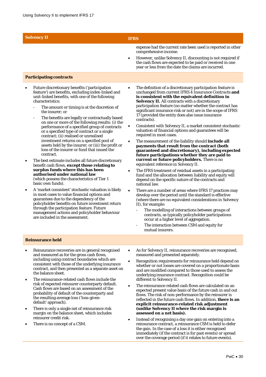| <b>Solvency II</b> | <b>IFRS</b> |                                        |                                    |
|--------------------|-------------|----------------------------------------|------------------------------------|
|                    |             | $\mathbf{1}$ $\mathbf{1}$ $\mathbf{1}$ | $\sim$ $\sim$ $\sim$ $\sim$ $\sim$ |

expense had the current rate been used is reported in other comprehensive income.

 However, unlike Solvency II, discounting is not required if the cash flows are expected to be paid or received in one year or less from the date the claims are incurred.

### **Participating contracts**

- Future discretionary benefits ('participation feature') are benefits, excluding index-linked and unit-linked benefits, with one of the following characteristics:
	- The amount or timing is at the discretion of the insurer; or
	- The benefits are legally or contractually based on one or more of the following results: (i) the performance of a specified group of contracts or a specified type of contract or a single contract; (ii) realised or unrealised investment returns on a specified pool of assets held by the insurer; or (iii) the profit or loss of the insurer or fund that issued the contract.
- The best estimate includes all future discretionary benefit cash flows, **except those relating to surplus funds where this has been authorised under national law**  (which possess the characteristics of Tier 1 basic own funds).
- A 'market consistent' stochastic valuation is likely in most cases to value financial options and guarantees due to the dependency of the policyholder benefits on future investment return through the participation feature. Future management actions and policyholder behaviour are included in the assessment.
- The definition of a discretionary participation feature is unchanged from current IFRS 4 *Insurance Contracts* **and is consistent with the equivalent definition in Solvency II.** All contracts with a discretionary participation feature (no matter whether the contract has significant insurance risk or not) are in the scope of IFRS 17 (provided the entity does also issue insurance contracts).
- Consistent with Solvency II, a market consistent stochastic valuation of financial options and guarantees will be required in most cases.
- The measurement of the liability should **include all payments that result from the contract (both guaranteed and discretionary), including expected future participations whether they are paid to current or future policyholders.** There is no equivalent reference in Solvency II.
- The IFRS treatment of residual assets in a participating fund and the allocation between liability and equity will depend on the specific nature of the contracts and national law.
- There are a number of areas where IFRS 17 practices may develop over the period until the standard is effective (where there are no equivalent considerations in Solvency II), for example:
	- The modelling of interactions between groups of contracts, as typically policyholder participations occur at a higher level of aggregation.
	- The interaction between CSM and equity for mutual insurers.

### **Reinsurance held**

- Reinsurance recoveries are in general recognised and measured as for the gross cash flows, including using contract boundaries which are consistent with those of the underlying insurance contract, and then presented as a separate asset on the balance sheet.
- The reinsurance-related cash flows include the risk of expected reinsurer counterparty default. Cash flows are based on an assessment of the probability of default of the counterparty and the resulting average loss ('loss-givendefault' approach).
- There is only a single net of reinsurance risk margin on the balance sheet, which includes reinsurer credit risk.
- There is no concept of a CSM.
- As for Solvency II, reinsurance recoveries are recognised, measured and presented separately.
- Recognition requirements for reinsurance held depend on whether or not losses are covered on a proportionate basis and are modified compared to those used to assess the underlying insurance contract. Recognition could be different to Solvency II.
- The reinsurance-related cash flows are calculated on an expected present value basis of the future cash in and out flows. The risk of non-performance by the reinsurer is reflected in the future cash flows. In addition, **there is an explicit reinsurance-related risk adjustment (unlike Solvency II where the risk margin is assessed on a net basis).**
- Instead of recognising a day one gain on entering into a reinsurance contract, a reinsurance CSM is held to defer the gain. In the case of a loss it is either recognised immediately (if the contract is for past events) or spread over the coverage period (if it relates to future events).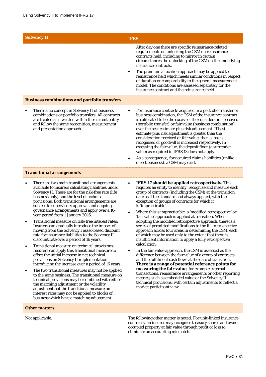| <b>Solvency II</b>                                   | <b>IFRS</b> |                                                                                                                                                                                                                                                                                                                                                                                                                                                                                                                                       |
|------------------------------------------------------|-------------|---------------------------------------------------------------------------------------------------------------------------------------------------------------------------------------------------------------------------------------------------------------------------------------------------------------------------------------------------------------------------------------------------------------------------------------------------------------------------------------------------------------------------------------|
|                                                      | $\bullet$   | After day one there are specific reinsurance-related<br>requirements on unlocking the CSM on reinsurance<br>contracts held, including to mirror in certain<br>circumstances the unlocking of the CSM on the underlying<br>insurance contracts.<br>The premium allocation approach may be applied to<br>reinsurance held which meets similar conditions in respect<br>of duration or comparability to the general measurement<br>model. The conditions are assessed separately for the<br>insurance contract and the reinsurance held. |
| <b>Business combinations and portfolio transfers</b> |             |                                                                                                                                                                                                                                                                                                                                                                                                                                                                                                                                       |

- There is no concept in Solvency II of business combinations or portfolio transfers. All contracts are treated as if written within the current entity and follow the same recognition, measurement and presentation approach.
- For insurance contracts acquired in a portfolio transfer or business combination, the CSM of the insurance contract is calibrated to be the excess of the consideration received (portfolio transfer) or fair value (business combination) over the best estimate plus risk adjustment. If best estimate plus risk adjustment is greater than the consideration received or fair value, then a loss is recognised or goodwill is increased respectively. In assessing the fair value, the deposit floor (a surrender value) as required in IFRS 13 does not apply.
- As a consequence, for acquired claims liabilities (unlike direct business), a CSM may exist.

### **Transitional arrangements**

- There are two main transitional arrangements available to insurers calculating liabilities under Solvency II. These are for the risk-free rate (life business only) and the level of technical provisions. Both transitional arrangements are subject to supervisory approval and ongoing governance arrangements and apply over a 16 year period from 1 January 2016.
- Transitional measure on risk-free interest rates: Insurers can gradually introduce the impact of moving from the Solvency I asset-based discount rate for insurance liabilities to the Solvency II discount rate over a period of 16 years.
- Transitional measure on technical provisions: Insurers can apply this transitional measure to offset the initial increase in net technical provisions on Solvency II implementation, introducing the increase over a period of 16 years.
- The two transitional measures may not be applied to the same business. The transitional measure on technical provisions may be combined with either the matching adjustment or the volatility adjustment but the transitional measure on interest rates may not be applied to blocks of business which have a matching adjustment.
- **IFRS 17 should be applied retrospectively.** This requires an entity to identify, recognise and measure each group of contracts (including the CSM) at the transition date as if the standard had always applied, with the exception of groups of contracts for which it is 'impracticable'.
- Where this is impracticable, a 'modified retrospective' or 'fair value' approach is applied at transition. When adopting the modified retrospective approach, there is a series of permitted modifications to the full retrospective approach across four areas in determining the CSM, each of which may be used only to the extent that there is insufficient information to apply a fully retrospective calculation.
- In the fair value approach, the CSM is assessed as the difference between the fair value of a group of contracts and the fulfilment cash flows at the date of transition. **There is a range of potential reference points for measuring the fair value**, for example external transactions, reinsurance arrangements or other reporting metrics, such as embedded value or the Solvency II technical provisions, with certain adjustments to reflect a market participant view.

### **Other matters**

Not applicable. The following other matter is noted: For unit-linked insurance contracts, an insurer may recognise treasury shares and owneroccupied property at fair value through profit or loss to eliminate an accounting mismatch.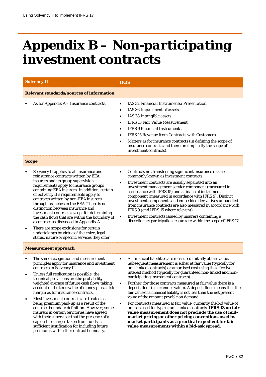sufficient justification for including future premiums within the contract boundary.

# *Appendix B – Non-participating investment contracts*

|                        | <b>Solvency II</b>                                                                                                                                                                                                                                                                                                                                                                                                                                                                                                                                                                                                                                                           | <b>IFRS</b>            |                                                                                                                                                                                                                                                                                                                                                                                                                                                                                                                                                                                                                                                                                                                                                                                                                                                                                   |
|------------------------|------------------------------------------------------------------------------------------------------------------------------------------------------------------------------------------------------------------------------------------------------------------------------------------------------------------------------------------------------------------------------------------------------------------------------------------------------------------------------------------------------------------------------------------------------------------------------------------------------------------------------------------------------------------------------|------------------------|-----------------------------------------------------------------------------------------------------------------------------------------------------------------------------------------------------------------------------------------------------------------------------------------------------------------------------------------------------------------------------------------------------------------------------------------------------------------------------------------------------------------------------------------------------------------------------------------------------------------------------------------------------------------------------------------------------------------------------------------------------------------------------------------------------------------------------------------------------------------------------------|
|                        | Relevant standards/sources of information                                                                                                                                                                                                                                                                                                                                                                                                                                                                                                                                                                                                                                    |                        |                                                                                                                                                                                                                                                                                                                                                                                                                                                                                                                                                                                                                                                                                                                                                                                                                                                                                   |
|                        | As for Appendix A – Insurance contracts.                                                                                                                                                                                                                                                                                                                                                                                                                                                                                                                                                                                                                                     | $\bullet$<br>٠         | IAS 32 Financial Instruments: Presentation.<br>IAS 36 Impairment of assets.<br>IAS 38 Intangible assets.<br><b>IFRS 13 Fair Value Measurement.</b><br><b>IFRS 9 Financial Instruments.</b><br>IFRS 15 Revenue from Contracts with Customers.<br>Matters as for insurance contracts (in defining the scope of<br>insurance contracts and therefore implicitly the scope of<br>investment contracts).                                                                                                                                                                                                                                                                                                                                                                                                                                                                               |
|                        | <b>Scope</b>                                                                                                                                                                                                                                                                                                                                                                                                                                                                                                                                                                                                                                                                 |                        |                                                                                                                                                                                                                                                                                                                                                                                                                                                                                                                                                                                                                                                                                                                                                                                                                                                                                   |
| $\bullet$<br>$\bullet$ | Solvency II applies to all insurance and<br>reinsurance contracts written by EEA<br>insurers and its group supervision<br>requirements apply to insurance groups<br>containing EEA insurers. In addition, certain<br>of Solvency II's requirements apply to<br>contracts written by non-EEA insurers<br>through branches in the EEA. There is no<br>distinction between insurance and<br>investment contracts except for determining<br>the cash flows that are within the boundary of<br>a contract as discussed in Appendix A.<br>There are scope exclusions for certain<br>undertakings by virtue of their size, legal<br>status, nature or specific services they offer. | $\bullet$<br>$\bullet$ | Contracts not transferring significant insurance risk are<br>commonly known as investment contracts.<br>Investment contracts are usually separated into an<br>investment management service component (measured in<br>accordance with IFRS 15) and a financial instrument<br>component (measured in accordance with IFRS 9). Distinct<br>investment components and embedded derivatives unbundled<br>from insurance contracts are also measured in accordance with<br>IFRS 9 (and IFRS 15 where relevant).<br>Investment contracts issued by insurers containing a<br>discretionary participation feature are within the scope of IFRS 17.                                                                                                                                                                                                                                        |
|                        | <b>Measurement approach</b>                                                                                                                                                                                                                                                                                                                                                                                                                                                                                                                                                                                                                                                  |                        |                                                                                                                                                                                                                                                                                                                                                                                                                                                                                                                                                                                                                                                                                                                                                                                                                                                                                   |
| $\bullet$<br>$\bullet$ | The same recognition and measurement<br>principles apply for insurance and investment<br>contracts in Solvency II.<br>Unless full replication is possible, the<br>technical provisions are the probability-<br>weighted average of future cash flows taking<br>account of the time value of money plus a risk<br>margin as for insurance contracts.<br>Most investment contracts are treated as<br>being premium paid-up as a result of the<br>contract boundary definition. However, some<br>insurers in certain territories have agreed<br>with their supervisor that the presence of a<br>cap on the charges taken from funds is                                          | $\bullet$<br>$\bullet$ | All financial liabilities are measured initially at fair value.<br>Subsequent measurement is either at fair value (typically for<br>unit-linked contracts) or amortised cost using the effective<br>interest method (typically for guaranteed non-linked and non-<br>participating investment contracts).<br>Further, for those contracts measured at fair value there is a<br>deposit floor (a surrender value). A deposit floor means that the<br>fair value of a financial liability is not less than the net present<br>value of the amount payable on demand.<br>For contracts measured at fair value, currently the bid value of<br>units is used for typical unit-linked contracts. IFRS 13 on fair<br>value measurement does not preclude the use of mid-<br>market pricing or other pricing conventions used by<br>market participants as a practical expedient for fair |

**value measurements within a bid-ask spread.**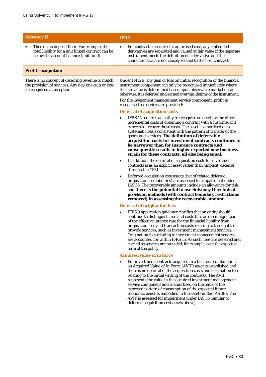| <b>Solvency II</b>                                                                                                                         | <b>IFRS</b>                                                                                                                                                                                                                                                                                                                                                                                                                                                                                                                                                                                                                |
|--------------------------------------------------------------------------------------------------------------------------------------------|----------------------------------------------------------------------------------------------------------------------------------------------------------------------------------------------------------------------------------------------------------------------------------------------------------------------------------------------------------------------------------------------------------------------------------------------------------------------------------------------------------------------------------------------------------------------------------------------------------------------------|
| There is no deposit floor. For example, the<br>total liability for a unit linked contract can be<br>below the account balance (unit fund). | For contracts measured at amortised cost, any embedded<br>$\bullet$<br>derivatives are separated and valued at fair value if the separate<br>instrument meets the definition of a derivative and the<br>characteristics are not closely related to the host contract.                                                                                                                                                                                                                                                                                                                                                      |
| <b>Profit recognition</b>                                                                                                                  |                                                                                                                                                                                                                                                                                                                                                                                                                                                                                                                                                                                                                            |
| There is no concept of deferring revenue to match<br>the provision of services. Any day-one gain or loss<br>is recognised at inception.    | Under IFRS 9, any gain or loss on initial recognition of the financial<br>instrument component can only be recognised immediately where<br>the fair value is determined based upon observable market data;<br>otherwise, it is deferred and earned over the lifetime of the instrument.                                                                                                                                                                                                                                                                                                                                    |
|                                                                                                                                            | For the investment management service component, profit is<br>recognised as services are provided:                                                                                                                                                                                                                                                                                                                                                                                                                                                                                                                         |
|                                                                                                                                            | <b>Deferral of acquisition costs</b>                                                                                                                                                                                                                                                                                                                                                                                                                                                                                                                                                                                       |
|                                                                                                                                            | IFRS 15 requires an entity to recognise an asset for the direct<br>incremental costs of obtaining a contract with a customer if it<br>expects to recover those costs. The asset is amortised on a<br>systematic basis consistent with the pattern of transfer of the<br>goods and services. The definition of deferrable<br>acquisition costs for investment contracts continues to<br>be narrower than for insurance contracts and<br>consequently results in higher expected new business<br>strain for these contracts, all else being equal.                                                                           |
|                                                                                                                                            | In addition, the deferral of acquisition costs for investment<br>$\bullet$<br>contracts is as an explicit asset rather than 'implicit' deferral<br>through the CSM.                                                                                                                                                                                                                                                                                                                                                                                                                                                        |
|                                                                                                                                            | Deferred acquisition cost assets (net of related deferred<br>$\bullet$<br>origination fee liabilities) are assessed for impairment under<br>IAS 36. The recoverable amounts include an allowance for risk<br>and there is the potential to use Solvency II technical<br>provision methods (with contract boundary restrictions<br>removed) in assessing the recoverable amount.                                                                                                                                                                                                                                            |
|                                                                                                                                            | <b>Deferral of origination fees</b>                                                                                                                                                                                                                                                                                                                                                                                                                                                                                                                                                                                        |
|                                                                                                                                            | IFRS 9 application guidance clarifies that an entity should<br>continue to distinguish fees and costs that are an integral part<br>of the effective interest rate for the financial liability from<br>origination fees and transaction costs relating to the right to<br>provide services, such as investment management services.<br>Origination fees relating to investment management services<br>are accounted for within IFRS 15. As such, fees are deferred and<br>earned as services are provided, for example, over the expected<br>term of the policy.                                                            |
|                                                                                                                                            | <b>Acquired value of in force</b>                                                                                                                                                                                                                                                                                                                                                                                                                                                                                                                                                                                          |
|                                                                                                                                            | For investment contracts acquired in a business combination,<br>an Acquired Value of In Force (AVIF) asset is established and<br>there is no deferral of the acquisition costs and origination fees<br>relating to the initial writing of the contracts. The AVIF<br>represents the value in the acquired investment management<br>service component and is amortised on the basis of the<br>expected pattern of consumption of the expected future<br>economic benefits embodied in the asset (under IAS 38). The<br>AVIF is assessed for impairment under IAS 36 (similar to<br>deferred acquisition cost assets above). |
|                                                                                                                                            |                                                                                                                                                                                                                                                                                                                                                                                                                                                                                                                                                                                                                            |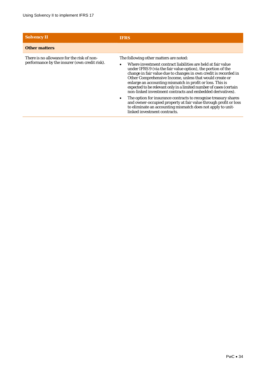| <b>Solvency II</b>                                                                          | IFRS                                                                                                                                                                                                                                                                                                                                                                                                                                                                                                                                                                                                                                                                                                                                         |
|---------------------------------------------------------------------------------------------|----------------------------------------------------------------------------------------------------------------------------------------------------------------------------------------------------------------------------------------------------------------------------------------------------------------------------------------------------------------------------------------------------------------------------------------------------------------------------------------------------------------------------------------------------------------------------------------------------------------------------------------------------------------------------------------------------------------------------------------------|
| Other matters                                                                               |                                                                                                                                                                                                                                                                                                                                                                                                                                                                                                                                                                                                                                                                                                                                              |
| There is no allowance for the risk of non-<br>performance by the insurer (own credit risk). | The following other matters are noted:<br>Where investment contract liabilities are held at fair value<br>under IFRS 9 (via the fair value option), the portion of the<br>change in fair value due to changes in own credit is recorded in<br>Other Comprehensive Income, unless that would create or<br>enlarge an accounting mismatch in profit or loss. This is<br>expected to be relevant only in a limited number of cases (certain<br>non-linked investment contracts and embedded derivatives).<br>The option for insurance contracts to recognise treasury shares<br>and owner-occupied property at fair value through profit or loss<br>to eliminate an accounting mismatch does not apply to unit-<br>linked investment contracts. |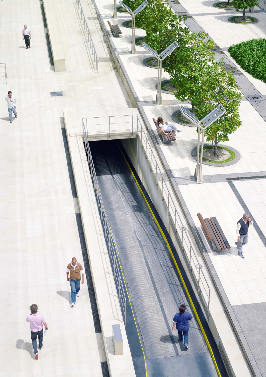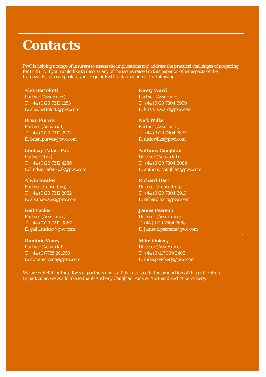# *Contacts*

Т

PwC is helping a range of insurers to assess the implications and address the practical challenges of preparing for IFRS 17. If you would like to discuss any of the issues raised in this paper or other aspects of the frameworks, please speak to your regular PwC contact or one of the following:

| <b>Alex Bertolotti</b>        | <b>Kirsty Ward</b>           |
|-------------------------------|------------------------------|
| <b>Partner (Assurance)</b>    | <b>Partner (Assurance)</b>   |
| $T: +44(0)2072131253$         | $T: +44(0)2078042999$        |
| E: alex.bertolotti@pwc.com    | E: kirsty.a.ward@pwc.com     |
| <b>Brian Purves</b>           | <b>Nick Wilks</b>            |
| <b>Partner (Actuarial)</b>    | <b>Partner (Assurance)</b>   |
| $T: +44(0)2072123902$         | $T: +44(0)2078047872$        |
| E: brian.purves@pwc.com       | E: nick.wilks@pwc.com        |
| <b>Lindsay J'afari-Pak</b>    | <b>Anthony Coughlan</b>      |
| Partner (Tax)                 | <b>Director (Actuarial)</b>  |
| $T: +44(0)2072124286$         | $T: +44(0)2078042084$        |
| E: lindsay.jafari-pak@pwc.com | E: anthony.coughlan@pwc.com  |
| <b>Alwin Swales</b>           | <b>Richard Hart</b>          |
| <b>Partner (Consulting)</b>   | <b>Director</b> (Consulting) |
| $T: +44(0)2072122032$         | $T: +44(0)2078042910$        |
| E: alwin.swales@pwc.com       | E: richard.hart@pwc.com      |
| <b>Gail Tucker</b>            | <b>James Pearson</b>         |
| <b>Partner (Assurance)</b>    | Director (Assurance)         |
| $T: +44(0)2072123867$         | $T: +44(0)2078047868$        |
| E: gail.l.tucker@pwc.com      | E: james.x.pearson@pwc.com   |
| <b>Dominic Veney</b>          | <b>Mike Vickery</b>          |
| <b>Partner (Actuarial)</b>    | Director (Assurance)         |
| $T: +44(0)7725201950$         | $T: +44(0)1173092403$        |
| E: dominic.veney@pwc.com      | E: mike.p.vickery@pwc.com    |

We are grateful for the efforts of partners and staff that assisted in the production of this publication. In particular, we would like to thank Anthony Coughlan, Ainsley Normand and Mike Vickery.